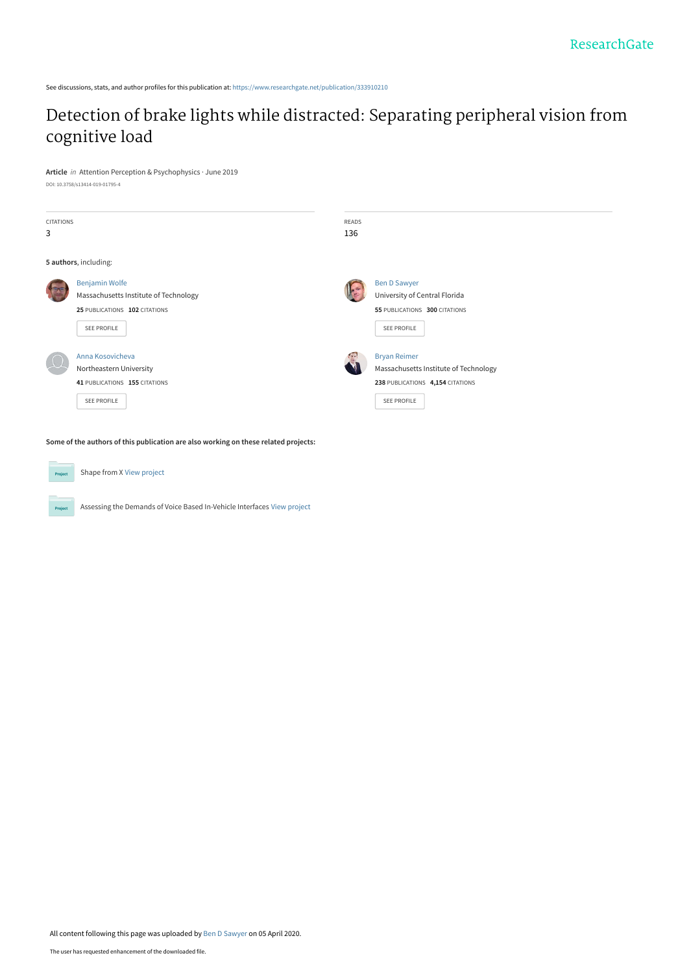See discussions, stats, and author profiles for this publication at: [https://www.researchgate.net/publication/333910210](https://www.researchgate.net/publication/333910210_Detection_of_brake_lights_while_distracted_Separating_peripheral_vision_from_cognitive_load?enrichId=rgreq-4e354e8c4458e3a2923b7a2d513af0a0-XXX&enrichSource=Y292ZXJQYWdlOzMzMzkxMDIxMDtBUzo4NzcwMTgwNTcwMzU3NzZAMTU4NjEwODgwNzc4NQ%3D%3D&el=1_x_2&_esc=publicationCoverPdf)

# [Detection of brake lights while distracted: Separating peripheral vision from](https://www.researchgate.net/publication/333910210_Detection_of_brake_lights_while_distracted_Separating_peripheral_vision_from_cognitive_load?enrichId=rgreq-4e354e8c4458e3a2923b7a2d513af0a0-XXX&enrichSource=Y292ZXJQYWdlOzMzMzkxMDIxMDtBUzo4NzcwMTgwNTcwMzU3NzZAMTU4NjEwODgwNzc4NQ%3D%3D&el=1_x_3&_esc=publicationCoverPdf) cognitive load

**Article** in Attention Perception & Psychophysics · June 2019 DOI: 10.3758/s13414-019-01795-4

| <b>CITATIONS</b><br>3 |                                                                                                                       | <b>READS</b><br>136 |                                                                                                                 |
|-----------------------|-----------------------------------------------------------------------------------------------------------------------|---------------------|-----------------------------------------------------------------------------------------------------------------|
|                       | 5 authors, including:                                                                                                 |                     |                                                                                                                 |
|                       | <b>Benjamin Wolfe</b><br>Massachusetts Institute of Technology<br>25 PUBLICATIONS 102 CITATIONS<br><b>SEE PROFILE</b> |                     | <b>Ben D Sawyer</b><br>University of Central Florida<br>55 PUBLICATIONS 300 CITATIONS<br>SEE PROFILE            |
|                       | Anna Kosovicheva<br>Northeastern University<br>41 PUBLICATIONS 155 CITATIONS<br>SEE PROFILE                           |                     | <b>Bryan Reimer</b><br>Massachusetts Institute of Technology<br>238 PUBLICATIONS 4,154 CITATIONS<br>SEE PROFILE |

**Some of the authors of this publication are also working on these related projects:**

Shape from X [View project](https://www.researchgate.net/project/Shape-from-X?enrichId=rgreq-4e354e8c4458e3a2923b7a2d513af0a0-XXX&enrichSource=Y292ZXJQYWdlOzMzMzkxMDIxMDtBUzo4NzcwMTgwNTcwMzU3NzZAMTU4NjEwODgwNzc4NQ%3D%3D&el=1_x_9&_esc=publicationCoverPdf) **Project** Assessing the Demands of Voice Based In-Vehicle Interfaces [View project](https://www.researchgate.net/project/Assessing-the-Demands-of-Voice-Based-In-Vehicle-Interfaces?enrichId=rgreq-4e354e8c4458e3a2923b7a2d513af0a0-XXX&enrichSource=Y292ZXJQYWdlOzMzMzkxMDIxMDtBUzo4NzcwMTgwNTcwMzU3NzZAMTU4NjEwODgwNzc4NQ%3D%3D&el=1_x_9&_esc=publicationCoverPdf) **Project**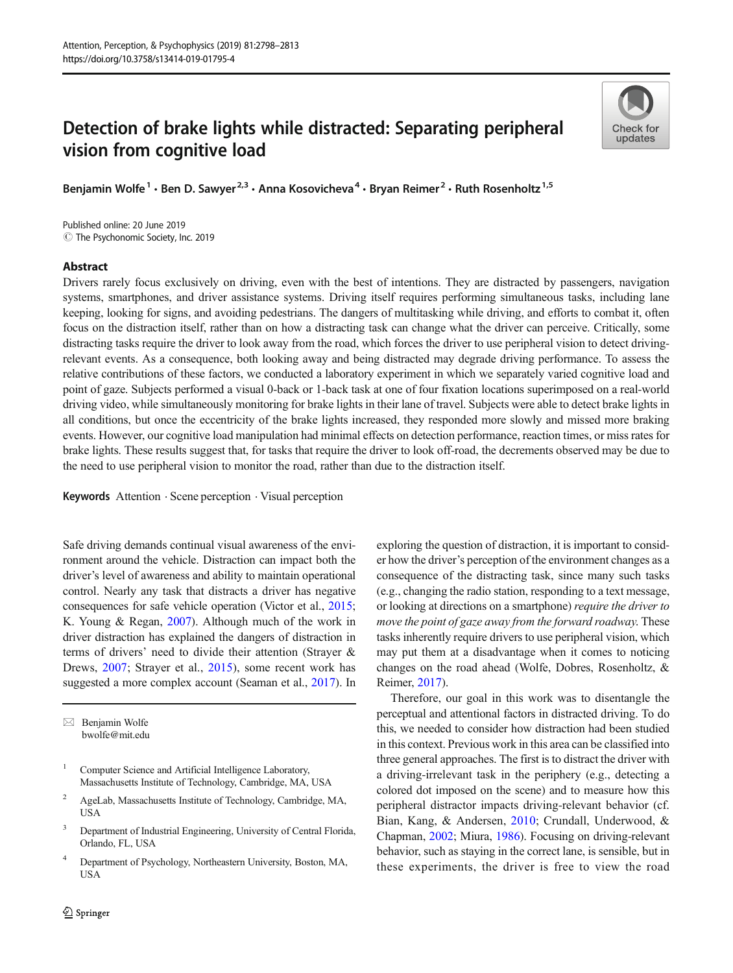# Detection of brake lights while distracted: Separating peripheral vision from cognitive load



Benjamin Wolfe<sup>1</sup> · Ben D. Sawyer<sup>2,3</sup> · Anna Kosovicheva<sup>4</sup> · Bryan Reimer<sup>2</sup> · Ruth Rosenholtz<sup>1,5</sup>

 $\odot$  The Psychonomic Society, Inc. 2019 Published online: 20 June 2019

### Abstract

Drivers rarely focus exclusively on driving, even with the best of intentions. They are distracted by passengers, navigation systems, smartphones, and driver assistance systems. Driving itself requires performing simultaneous tasks, including lane keeping, looking for signs, and avoiding pedestrians. The dangers of multitasking while driving, and efforts to combat it, often focus on the distraction itself, rather than on how a distracting task can change what the driver can perceive. Critically, some distracting tasks require the driver to look away from the road, which forces the driver to use peripheral vision to detect drivingrelevant events. As a consequence, both looking away and being distracted may degrade driving performance. To assess the relative contributions of these factors, we conducted a laboratory experiment in which we separately varied cognitive load and point of gaze. Subjects performed a visual 0-back or 1-back task at one of four fixation locations superimposed on a real-world driving video, while simultaneously monitoring for brake lights in their lane of travel. Subjects were able to detect brake lights in all conditions, but once the eccentricity of the brake lights increased, they responded more slowly and missed more braking events. However, our cognitive load manipulation had minimal effects on detection performance, reaction times, or miss rates for brake lights. These results suggest that, for tasks that require the driver to look off-road, the decrements observed may be due to the need to use peripheral vision to monitor the road, rather than due to the distraction itself.

Keywords Attention . Scene perception . Visual perception

Safe driving demands continual visual awareness of the environment around the vehicle. Distraction can impact both the driver's level of awareness and ability to maintain operational control. Nearly any task that distracts a driver has negative consequences for safe vehicle operation (Victor et al., [2015](#page-15-0); K. Young & Regan, [2007\)](#page-16-0). Although much of the work in driver distraction has explained the dangers of distraction in terms of drivers' need to divide their attention (Strayer & Drews, [2007](#page-15-0); Strayer et al., [2015](#page-15-0)), some recent work has suggested a more complex account (Seaman et al., [2017\)](#page-15-0). In

 $\boxtimes$  Benjamin Wolfe [bwolfe@mit.edu](mailto:bwolfe@mit.edu)

<sup>1</sup> Computer Science and Artificial Intelligence Laboratory, Massachusetts Institute of Technology, Cambridge, MA, USA

- <sup>2</sup> AgeLab, Massachusetts Institute of Technology, Cambridge, MA, USA
- <sup>3</sup> Department of Industrial Engineering, University of Central Florida, Orlando, FL, USA
- <sup>4</sup> Department of Psychology, Northeastern University, Boston, MA, USA

exploring the question of distraction, it is important to consider how the driver's perception of the environment changes as a consequence of the distracting task, since many such tasks (e.g., changing the radio station, responding to a text message, or looking at directions on a smartphone) require the driver to move the point of gaze away from the forward roadway. These tasks inherently require drivers to use peripheral vision, which may put them at a disadvantage when it comes to noticing changes on the road ahead (Wolfe, Dobres, Rosenholtz, & Reimer, [2017\)](#page-15-0).

Therefore, our goal in this work was to disentangle the perceptual and attentional factors in distracted driving. To do this, we needed to consider how distraction had been studied in this context. Previous work in this area can be classified into three general approaches. The first is to distract the driver with a driving-irrelevant task in the periphery (e.g., detecting a colored dot imposed on the scene) and to measure how this peripheral distractor impacts driving-relevant behavior (cf. Bian, Kang, & Andersen, [2010](#page-14-0); Crundall, Underwood, & Chapman, [2002](#page-14-0); Miura, [1986](#page-14-0)). Focusing on driving-relevant behavior, such as staying in the correct lane, is sensible, but in these experiments, the driver is free to view the road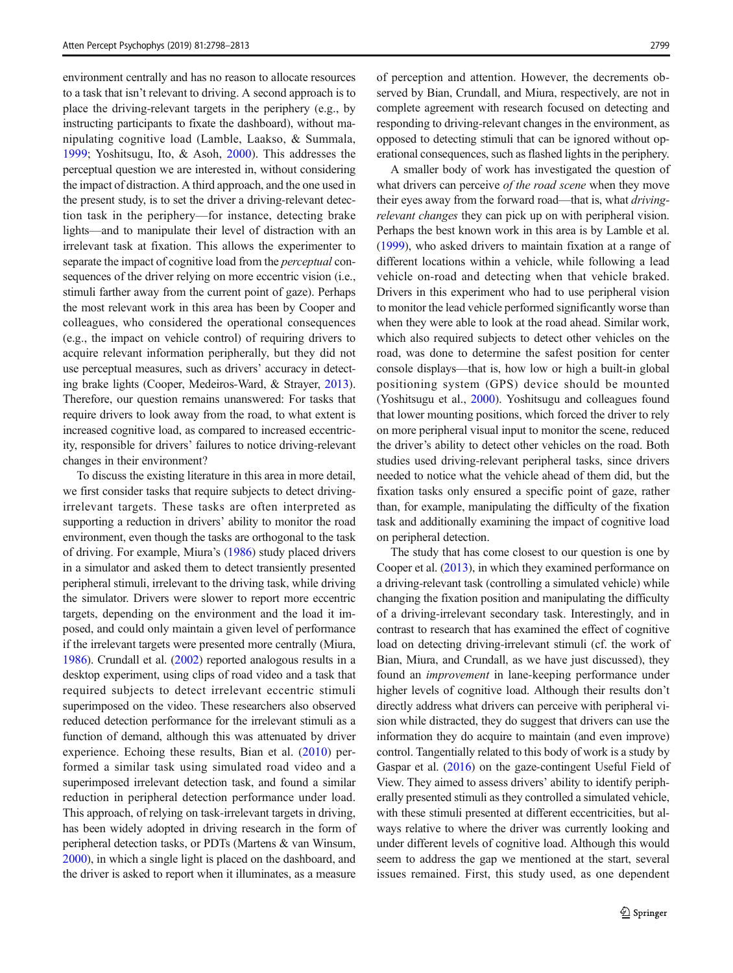environment centrally and has no reason to allocate resources to a task that isn't relevant to driving. A second approach is to place the driving-relevant targets in the periphery (e.g., by instructing participants to fixate the dashboard), without manipulating cognitive load (Lamble, Laakso, & Summala, [1999](#page-14-0); Yoshitsugu, Ito, & Asoh, [2000](#page-15-0)). This addresses the perceptual question we are interested in, without considering the impact of distraction. A third approach, and the one used in the present study, is to set the driver a driving-relevant detection task in the periphery—for instance, detecting brake lights—and to manipulate their level of distraction with an irrelevant task at fixation. This allows the experimenter to separate the impact of cognitive load from the *perceptual* consequences of the driver relying on more eccentric vision (i.e., stimuli farther away from the current point of gaze). Perhaps the most relevant work in this area has been by Cooper and colleagues, who considered the operational consequences (e.g., the impact on vehicle control) of requiring drivers to acquire relevant information peripherally, but they did not use perceptual measures, such as drivers' accuracy in detecting brake lights (Cooper, Medeiros-Ward, & Strayer, [2013\)](#page-14-0). Therefore, our question remains unanswered: For tasks that require drivers to look away from the road, to what extent is increased cognitive load, as compared to increased eccentricity, responsible for drivers' failures to notice driving-relevant changes in their environment?

To discuss the existing literature in this area in more detail, we first consider tasks that require subjects to detect drivingirrelevant targets. These tasks are often interpreted as supporting a reduction in drivers' ability to monitor the road environment, even though the tasks are orthogonal to the task of driving. For example, Miura's [\(1986\)](#page-14-0) study placed drivers in a simulator and asked them to detect transiently presented peripheral stimuli, irrelevant to the driving task, while driving the simulator. Drivers were slower to report more eccentric targets, depending on the environment and the load it imposed, and could only maintain a given level of performance if the irrelevant targets were presented more centrally (Miura, [1986\)](#page-14-0). Crundall et al. [\(2002\)](#page-14-0) reported analogous results in a desktop experiment, using clips of road video and a task that required subjects to detect irrelevant eccentric stimuli superimposed on the video. These researchers also observed reduced detection performance for the irrelevant stimuli as a function of demand, although this was attenuated by driver experience. Echoing these results, Bian et al. ([2010](#page-14-0)) performed a similar task using simulated road video and a superimposed irrelevant detection task, and found a similar reduction in peripheral detection performance under load. This approach, of relying on task-irrelevant targets in driving, has been widely adopted in driving research in the form of peripheral detection tasks, or PDTs (Martens & van Winsum, [2000\)](#page-14-0), in which a single light is placed on the dashboard, and the driver is asked to report when it illuminates, as a measure

of perception and attention. However, the decrements observed by Bian, Crundall, and Miura, respectively, are not in complete agreement with research focused on detecting and responding to driving-relevant changes in the environment, as opposed to detecting stimuli that can be ignored without operational consequences, such as flashed lights in the periphery.

A smaller body of work has investigated the question of what drivers can perceive *of the road scene* when they move their eyes away from the forward road—that is, what *driving*relevant changes they can pick up on with peripheral vision. Perhaps the best known work in this area is by Lamble et al. [\(1999\)](#page-14-0), who asked drivers to maintain fixation at a range of different locations within a vehicle, while following a lead vehicle on-road and detecting when that vehicle braked. Drivers in this experiment who had to use peripheral vision to monitor the lead vehicle performed significantly worse than when they were able to look at the road ahead. Similar work, which also required subjects to detect other vehicles on the road, was done to determine the safest position for center console displays—that is, how low or high a built-in global positioning system (GPS) device should be mounted (Yoshitsugu et al., [2000](#page-15-0)). Yoshitsugu and colleagues found that lower mounting positions, which forced the driver to rely on more peripheral visual input to monitor the scene, reduced the driver's ability to detect other vehicles on the road. Both studies used driving-relevant peripheral tasks, since drivers needed to notice what the vehicle ahead of them did, but the fixation tasks only ensured a specific point of gaze, rather than, for example, manipulating the difficulty of the fixation task and additionally examining the impact of cognitive load on peripheral detection.

The study that has come closest to our question is one by Cooper et al. [\(2013\)](#page-14-0), in which they examined performance on a driving-relevant task (controlling a simulated vehicle) while changing the fixation position and manipulating the difficulty of a driving-irrelevant secondary task. Interestingly, and in contrast to research that has examined the effect of cognitive load on detecting driving-irrelevant stimuli (cf. the work of Bian, Miura, and Crundall, as we have just discussed), they found an improvement in lane-keeping performance under higher levels of cognitive load. Although their results don't directly address what drivers can perceive with peripheral vision while distracted, they do suggest that drivers can use the information they do acquire to maintain (and even improve) control. Tangentially related to this body of work is a study by Gaspar et al. [\(2016](#page-14-0)) on the gaze-contingent Useful Field of View. They aimed to assess drivers' ability to identify peripherally presented stimuli as they controlled a simulated vehicle, with these stimuli presented at different eccentricities, but always relative to where the driver was currently looking and under different levels of cognitive load. Although this would seem to address the gap we mentioned at the start, several issues remained. First, this study used, as one dependent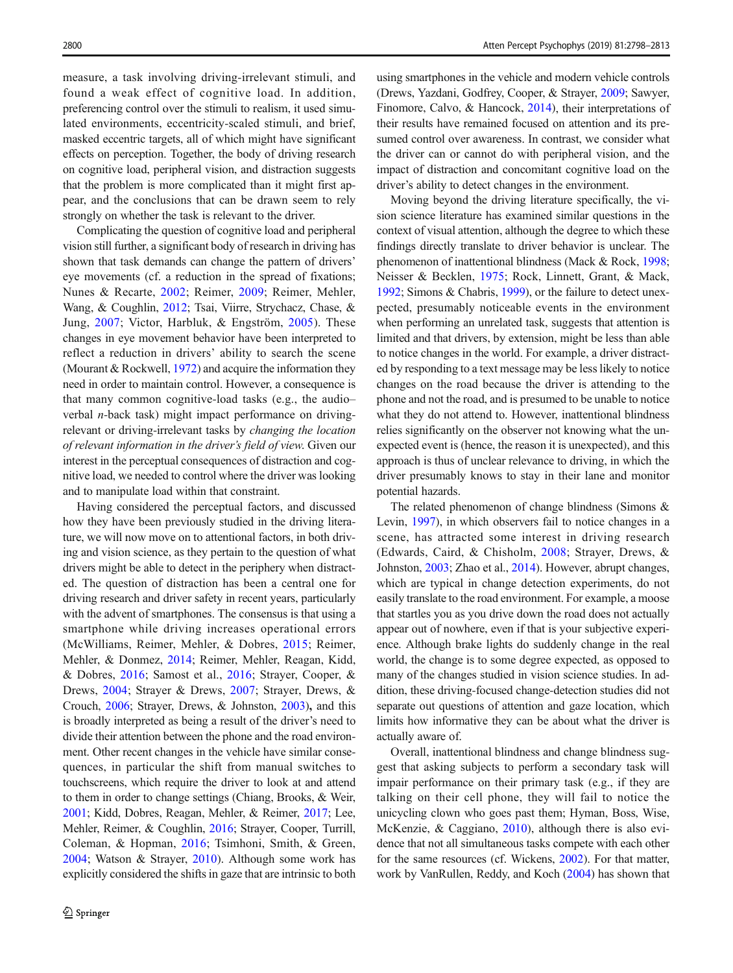measure, a task involving driving-irrelevant stimuli, and found a weak effect of cognitive load. In addition, preferencing control over the stimuli to realism, it used simulated environments, eccentricity-scaled stimuli, and brief, masked eccentric targets, all of which might have significant effects on perception. Together, the body of driving research on cognitive load, peripheral vision, and distraction suggests that the problem is more complicated than it might first appear, and the conclusions that can be drawn seem to rely strongly on whether the task is relevant to the driver.

Complicating the question of cognitive load and peripheral vision still further, a significant body of research in driving has shown that task demands can change the pattern of drivers' eye movements (cf. a reduction in the spread of fixations; Nunes & Recarte, [2002](#page-14-0); Reimer, [2009;](#page-15-0) Reimer, Mehler, Wang, & Coughlin, [2012](#page-15-0); Tsai, Viirre, Strychacz, Chase, & Jung, [2007;](#page-15-0) Victor, Harbluk, & Engström, [2005\)](#page-15-0). These changes in eye movement behavior have been interpreted to reflect a reduction in drivers' ability to search the scene (Mourant & Rockwell, [1972](#page-14-0)) and acquire the information they need in order to maintain control. However, a consequence is that many common cognitive-load tasks (e.g., the audio– verbal n-back task) might impact performance on drivingrelevant or driving-irrelevant tasks by changing the location of relevant information in the driver's field of view. Given our interest in the perceptual consequences of distraction and cognitive load, we needed to control where the driver was looking and to manipulate load within that constraint.

Having considered the perceptual factors, and discussed how they have been previously studied in the driving literature, we will now move on to attentional factors, in both driving and vision science, as they pertain to the question of what drivers might be able to detect in the periphery when distracted. The question of distraction has been a central one for driving research and driver safety in recent years, particularly with the advent of smartphones. The consensus is that using a smartphone while driving increases operational errors (McWilliams, Reimer, Mehler, & Dobres, [2015](#page-14-0); Reimer, Mehler, & Donmez, [2014;](#page-15-0) Reimer, Mehler, Reagan, Kidd, & Dobres, [2016;](#page-15-0) Samost et al., [2016;](#page-15-0) Strayer, Cooper, & Drews, [2004;](#page-15-0) Strayer & Drews, [2007](#page-15-0); Strayer, Drews, & Crouch, [2006](#page-15-0); Strayer, Drews, & Johnston, [2003](#page-15-0)), and this is broadly interpreted as being a result of the driver's need to divide their attention between the phone and the road environment. Other recent changes in the vehicle have similar consequences, in particular the shift from manual switches to touchscreens, which require the driver to look at and attend to them in order to change settings (Chiang, Brooks, & Weir, [2001;](#page-14-0) Kidd, Dobres, Reagan, Mehler, & Reimer, [2017](#page-14-0); Lee, Mehler, Reimer, & Coughlin, [2016;](#page-14-0) Strayer, Cooper, Turrill, Coleman, & Hopman, [2016;](#page-15-0) Tsimhoni, Smith, & Green, [2004;](#page-15-0) Watson & Strayer, [2010](#page-15-0)). Although some work has explicitly considered the shifts in gaze that are intrinsic to both

using smartphones in the vehicle and modern vehicle controls (Drews, Yazdani, Godfrey, Cooper, & Strayer, [2009;](#page-14-0) Sawyer, Finomore, Calvo, & Hancock, [2014](#page-15-0)), their interpretations of their results have remained focused on attention and its presumed control over awareness. In contrast, we consider what the driver can or cannot do with peripheral vision, and the impact of distraction and concomitant cognitive load on the driver's ability to detect changes in the environment.

Moving beyond the driving literature specifically, the vision science literature has examined similar questions in the context of visual attention, although the degree to which these findings directly translate to driver behavior is unclear. The phenomenon of inattentional blindness (Mack & Rock, [1998;](#page-14-0) Neisser & Becklen, [1975;](#page-14-0) Rock, Linnett, Grant, & Mack, [1992;](#page-15-0) Simons & Chabris, [1999\)](#page-15-0), or the failure to detect unexpected, presumably noticeable events in the environment when performing an unrelated task, suggests that attention is limited and that drivers, by extension, might be less than able to notice changes in the world. For example, a driver distracted by responding to a text message may be less likely to notice changes on the road because the driver is attending to the phone and not the road, and is presumed to be unable to notice what they do not attend to. However, inattentional blindness relies significantly on the observer not knowing what the unexpected event is (hence, the reason it is unexpected), and this approach is thus of unclear relevance to driving, in which the driver presumably knows to stay in their lane and monitor potential hazards.

The related phenomenon of change blindness (Simons & Levin, [1997](#page-15-0)), in which observers fail to notice changes in a scene, has attracted some interest in driving research (Edwards, Caird, & Chisholm, [2008;](#page-14-0) Strayer, Drews, & Johnston, [2003](#page-15-0); Zhao et al., [2014](#page-16-0)). However, abrupt changes, which are typical in change detection experiments, do not easily translate to the road environment. For example, a moose that startles you as you drive down the road does not actually appear out of nowhere, even if that is your subjective experience. Although brake lights do suddenly change in the real world, the change is to some degree expected, as opposed to many of the changes studied in vision science studies. In addition, these driving-focused change-detection studies did not separate out questions of attention and gaze location, which limits how informative they can be about what the driver is actually aware of.

Overall, inattentional blindness and change blindness suggest that asking subjects to perform a secondary task will impair performance on their primary task (e.g., if they are talking on their cell phone, they will fail to notice the unicycling clown who goes past them; Hyman, Boss, Wise, McKenzie, & Caggiano, [2010](#page-14-0)), although there is also evidence that not all simultaneous tasks compete with each other for the same resources (cf. Wickens, [2002](#page-15-0)). For that matter, work by VanRullen, Reddy, and Koch ([2004](#page-15-0)) has shown that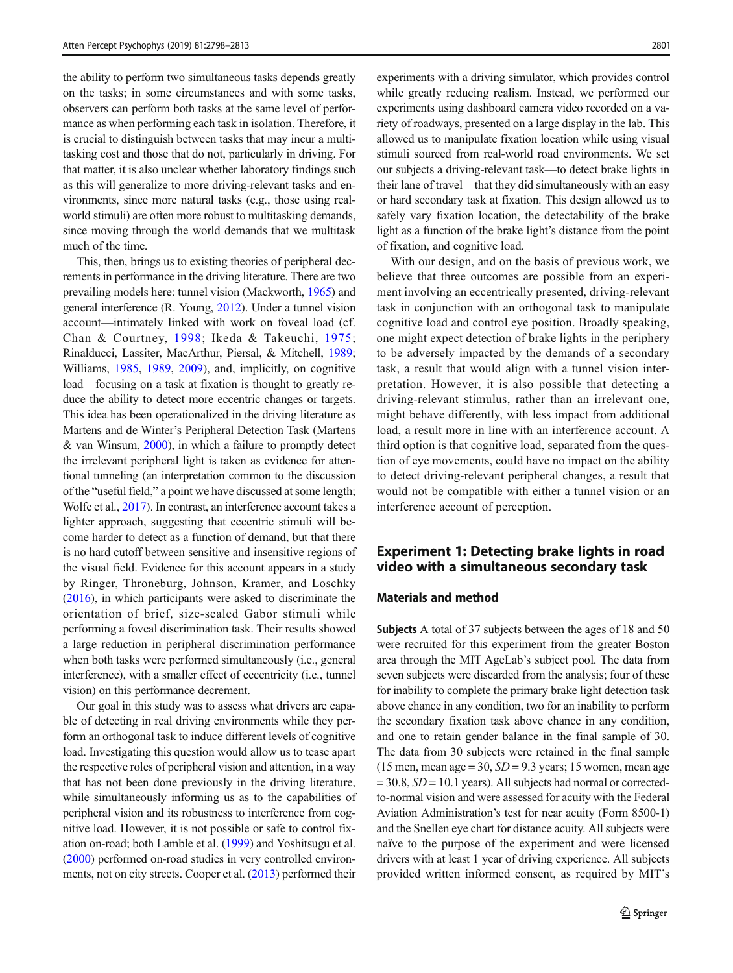the ability to perform two simultaneous tasks depends greatly on the tasks; in some circumstances and with some tasks, observers can perform both tasks at the same level of performance as when performing each task in isolation. Therefore, it is crucial to distinguish between tasks that may incur a multitasking cost and those that do not, particularly in driving. For that matter, it is also unclear whether laboratory findings such as this will generalize to more driving-relevant tasks and environments, since more natural tasks (e.g., those using realworld stimuli) are often more robust to multitasking demands, since moving through the world demands that we multitask much of the time.

This, then, brings us to existing theories of peripheral decrements in performance in the driving literature. There are two prevailing models here: tunnel vision (Mackworth, [1965](#page-14-0)) and general interference (R. Young, [2012\)](#page-16-0). Under a tunnel vision account—intimately linked with work on foveal load (cf. Chan & Courtney, [1998](#page-14-0); Ikeda & Takeuchi, [1975](#page-14-0); Rinalducci, Lassiter, MacArthur, Piersal, & Mitchell, [1989](#page-15-0); Williams, [1985,](#page-15-0) [1989,](#page-15-0) [2009](#page-15-0)), and, implicitly, on cognitive load—focusing on a task at fixation is thought to greatly reduce the ability to detect more eccentric changes or targets. This idea has been operationalized in the driving literature as Martens and de Winter's Peripheral Detection Task (Martens & van Winsum, [2000](#page-14-0)), in which a failure to promptly detect the irrelevant peripheral light is taken as evidence for attentional tunneling (an interpretation common to the discussion of the "useful field," a point we have discussed at some length; Wolfe et al., [2017\)](#page-15-0). In contrast, an interference account takes a lighter approach, suggesting that eccentric stimuli will become harder to detect as a function of demand, but that there is no hard cutoff between sensitive and insensitive regions of the visual field. Evidence for this account appears in a study by Ringer, Throneburg, Johnson, Kramer, and Loschky [\(2016\)](#page-15-0), in which participants were asked to discriminate the orientation of brief, size-scaled Gabor stimuli while performing a foveal discrimination task. Their results showed a large reduction in peripheral discrimination performance when both tasks were performed simultaneously (i.e., general interference), with a smaller effect of eccentricity (i.e., tunnel vision) on this performance decrement.

Our goal in this study was to assess what drivers are capable of detecting in real driving environments while they perform an orthogonal task to induce different levels of cognitive load. Investigating this question would allow us to tease apart the respective roles of peripheral vision and attention, in a way that has not been done previously in the driving literature, while simultaneously informing us as to the capabilities of peripheral vision and its robustness to interference from cognitive load. However, it is not possible or safe to control fixation on-road; both Lamble et al. [\(1999\)](#page-14-0) and Yoshitsugu et al. [\(2000\)](#page-15-0) performed on-road studies in very controlled environments, not on city streets. Cooper et al. [\(2013](#page-14-0)) performed their

experiments with a driving simulator, which provides control while greatly reducing realism. Instead, we performed our experiments using dashboard camera video recorded on a variety of roadways, presented on a large display in the lab. This allowed us to manipulate fixation location while using visual stimuli sourced from real-world road environments. We set our subjects a driving-relevant task—to detect brake lights in their lane of travel—that they did simultaneously with an easy or hard secondary task at fixation. This design allowed us to safely vary fixation location, the detectability of the brake light as a function of the brake light's distance from the point of fixation, and cognitive load.

With our design, and on the basis of previous work, we believe that three outcomes are possible from an experiment involving an eccentrically presented, driving-relevant task in conjunction with an orthogonal task to manipulate cognitive load and control eye position. Broadly speaking, one might expect detection of brake lights in the periphery to be adversely impacted by the demands of a secondary task, a result that would align with a tunnel vision interpretation. However, it is also possible that detecting a driving-relevant stimulus, rather than an irrelevant one, might behave differently, with less impact from additional load, a result more in line with an interference account. A third option is that cognitive load, separated from the question of eye movements, could have no impact on the ability to detect driving-relevant peripheral changes, a result that would not be compatible with either a tunnel vision or an interference account of perception.

## Experiment 1: Detecting brake lights in road video with a simultaneous secondary task

### Materials and method

Subjects A total of 37 subjects between the ages of 18 and 50 were recruited for this experiment from the greater Boston area through the MIT AgeLab's subject pool. The data from seven subjects were discarded from the analysis; four of these for inability to complete the primary brake light detection task above chance in any condition, two for an inability to perform the secondary fixation task above chance in any condition, and one to retain gender balance in the final sample of 30. The data from 30 subjects were retained in the final sample  $(15 \text{ men}, \text{mean age} = 30, SD = 9.3 \text{ years}; 15 \text{ women}, \text{mean age})$  $= 30.8, SD = 10.1$  years). All subjects had normal or correctedto-normal vision and were assessed for acuity with the Federal Aviation Administration's test for near acuity (Form 8500-1) and the Snellen eye chart for distance acuity. All subjects were naïve to the purpose of the experiment and were licensed drivers with at least 1 year of driving experience. All subjects provided written informed consent, as required by MIT's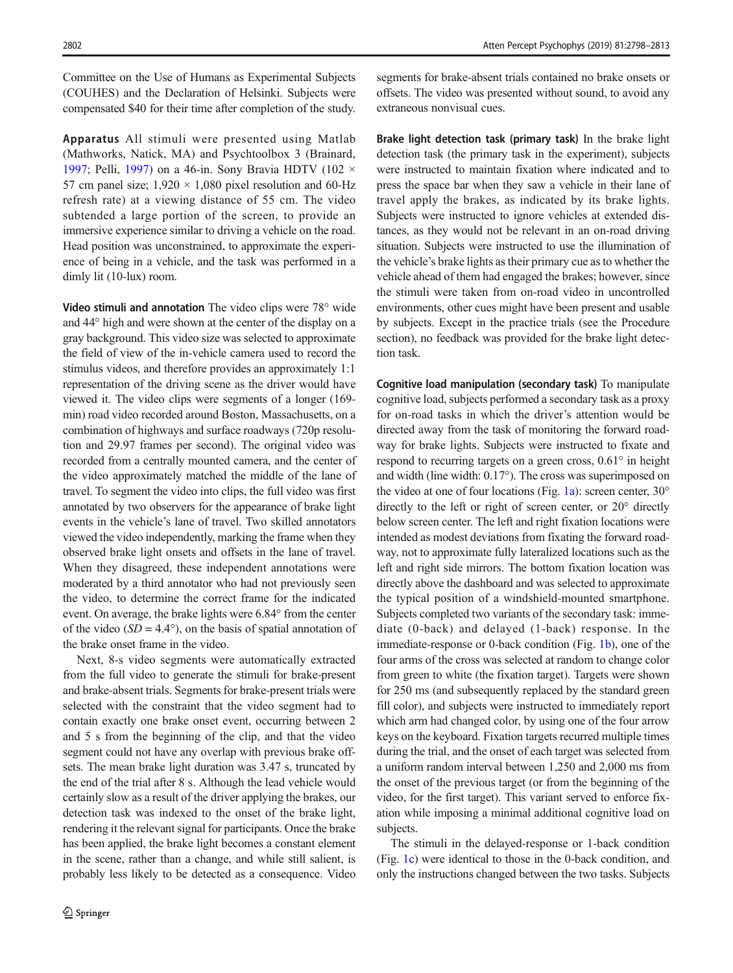Committee on the Use of Humans as Experimental Subjects (COUHES) and the Declaration of Helsinki. Subjects were compensated \$40 for their time after completion of the study.

Apparatus All stimuli were presented using Matlab (Mathworks, Natick, MA) and Psychtoolbox 3 (Brainard, [1997;](#page-14-0) Pelli, [1997](#page-15-0)) on a 46-in. Sony Bravia HDTV (102  $\times$ 57 cm panel size;  $1,920 \times 1,080$  pixel resolution and 60-Hz refresh rate) at a viewing distance of 55 cm. The video subtended a large portion of the screen, to provide an immersive experience similar to driving a vehicle on the road. Head position was unconstrained, to approximate the experience of being in a vehicle, and the task was performed in a dimly lit (10-lux) room.

Video stimuli and annotation The video clips were 78° wide and 44° high and were shown at the center of the display on a gray background. This video size was selected to approximate the field of view of the in-vehicle camera used to record the stimulus videos, and therefore provides an approximately 1:1 representation of the driving scene as the driver would have viewed it. The video clips were segments of a longer (169 min) road video recorded around Boston, Massachusetts, on a combination of highways and surface roadways (720p resolution and 29.97 frames per second). The original video was recorded from a centrally mounted camera, and the center of the video approximately matched the middle of the lane of travel. To segment the video into clips, the full video was first annotated by two observers for the appearance of brake light events in the vehicle's lane of travel. Two skilled annotators viewed the video independently, marking the frame when they observed brake light onsets and offsets in the lane of travel. When they disagreed, these independent annotations were moderated by a third annotator who had not previously seen the video, to determine the correct frame for the indicated event. On average, the brake lights were 6.84° from the center of the video ( $SD = 4.4^{\circ}$ ), on the basis of spatial annotation of the brake onset frame in the video.

Next, 8-s video segments were automatically extracted from the full video to generate the stimuli for brake-present and brake-absent trials. Segments for brake-present trials were selected with the constraint that the video segment had to contain exactly one brake onset event, occurring between 2 and 5 s from the beginning of the clip, and that the video segment could not have any overlap with previous brake offsets. The mean brake light duration was 3.47 s, truncated by the end of the trial after 8 s. Although the lead vehicle would certainly slow as a result of the driver applying the brakes, our detection task was indexed to the onset of the brake light, rendering it the relevant signal for participants. Once the brake has been applied, the brake light becomes a constant element in the scene, rather than a change, and while still salient, is probably less likely to be detected as a consequence. Video segments for brake-absent trials contained no brake onsets or offsets. The video was presented without sound, to avoid any extraneous nonvisual cues.

Brake light detection task (primary task) In the brake light detection task (the primary task in the experiment), subjects were instructed to maintain fixation where indicated and to press the space bar when they saw a vehicle in their lane of travel apply the brakes, as indicated by its brake lights. Subjects were instructed to ignore vehicles at extended distances, as they would not be relevant in an on-road driving situation. Subjects were instructed to use the illumination of the vehicle's brake lights as their primary cue as to whether the vehicle ahead of them had engaged the brakes; however, since the stimuli were taken from on-road video in uncontrolled environments, other cues might have been present and usable by subjects. Except in the practice trials (see the Procedure section), no feedback was provided for the brake light detection task.

Cognitive load manipulation (secondary task) To manipulate cognitive load, subjects performed a secondary task as a proxy for on-road tasks in which the driver's attention would be directed away from the task of monitoring the forward roadway for brake lights. Subjects were instructed to fixate and respond to recurring targets on a green cross, 0.61° in height and width (line width: 0.17°). The cross was superimposed on the video at one of four locations (Fig. [1a](#page-6-0)): screen center, 30° directly to the left or right of screen center, or 20° directly below screen center. The left and right fixation locations were intended as modest deviations from fixating the forward roadway, not to approximate fully lateralized locations such as the left and right side mirrors. The bottom fixation location was directly above the dashboard and was selected to approximate the typical position of a windshield-mounted smartphone. Subjects completed two variants of the secondary task: immediate (0-back) and delayed (1-back) response. In the immediate-response or 0-back condition (Fig. [1b\)](#page-6-0), one of the four arms of the cross was selected at random to change color from green to white (the fixation target). Targets were shown for 250 ms (and subsequently replaced by the standard green fill color), and subjects were instructed to immediately report which arm had changed color, by using one of the four arrow keys on the keyboard. Fixation targets recurred multiple times during the trial, and the onset of each target was selected from a uniform random interval between 1,250 and 2,000 ms from the onset of the previous target (or from the beginning of the video, for the first target). This variant served to enforce fixation while imposing a minimal additional cognitive load on subjects.

The stimuli in the delayed-response or 1-back condition (Fig. [1c\)](#page-6-0) were identical to those in the 0-back condition, and only the instructions changed between the two tasks. Subjects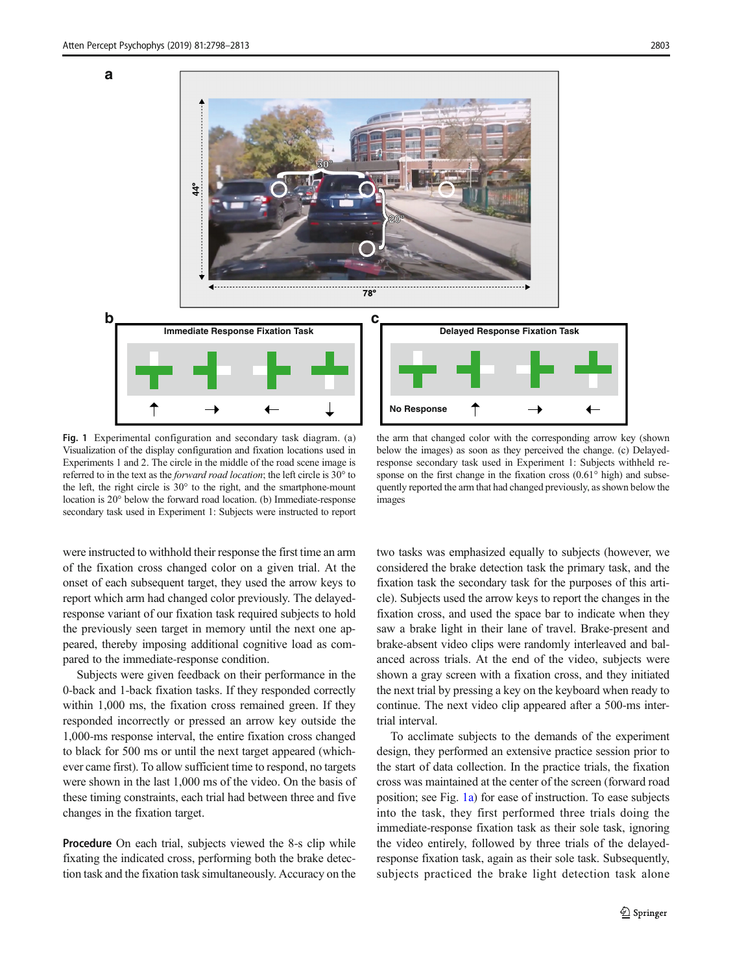<span id="page-6-0"></span>

Fig. 1 Experimental configuration and secondary task diagram. (a) Visualization of the display configuration and fixation locations used in Experiments 1 and 2. The circle in the middle of the road scene image is referred to in the text as the forward road location; the left circle is 30° to the left, the right circle is 30° to the right, and the smartphone-mount location is 20° below the forward road location. (b) Immediate-response secondary task used in Experiment 1: Subjects were instructed to report

the arm that changed color with the corresponding arrow key (shown below the images) as soon as they perceived the change. (c) Delayedresponse secondary task used in Experiment 1: Subjects withheld response on the first change in the fixation cross (0.61° high) and subsequently reported the arm that had changed previously, as shown below the images

were instructed to withhold their response the first time an arm of the fixation cross changed color on a given trial. At the onset of each subsequent target, they used the arrow keys to report which arm had changed color previously. The delayedresponse variant of our fixation task required subjects to hold the previously seen target in memory until the next one appeared, thereby imposing additional cognitive load as compared to the immediate-response condition.

Subjects were given feedback on their performance in the 0-back and 1-back fixation tasks. If they responded correctly within 1,000 ms, the fixation cross remained green. If they responded incorrectly or pressed an arrow key outside the 1,000-ms response interval, the entire fixation cross changed to black for 500 ms or until the next target appeared (whichever came first). To allow sufficient time to respond, no targets were shown in the last 1,000 ms of the video. On the basis of these timing constraints, each trial had between three and five changes in the fixation target.

Procedure On each trial, subjects viewed the 8-s clip while fixating the indicated cross, performing both the brake detection task and the fixation task simultaneously. Accuracy on the two tasks was emphasized equally to subjects (however, we considered the brake detection task the primary task, and the fixation task the secondary task for the purposes of this article). Subjects used the arrow keys to report the changes in the fixation cross, and used the space bar to indicate when they saw a brake light in their lane of travel. Brake-present and brake-absent video clips were randomly interleaved and balanced across trials. At the end of the video, subjects were shown a gray screen with a fixation cross, and they initiated the next trial by pressing a key on the keyboard when ready to continue. The next video clip appeared after a 500-ms intertrial interval.

To acclimate subjects to the demands of the experiment design, they performed an extensive practice session prior to the start of data collection. In the practice trials, the fixation cross was maintained at the center of the screen (forward road position; see Fig. 1a) for ease of instruction. To ease subjects into the task, they first performed three trials doing the immediate-response fixation task as their sole task, ignoring the video entirely, followed by three trials of the delayedresponse fixation task, again as their sole task. Subsequently, subjects practiced the brake light detection task alone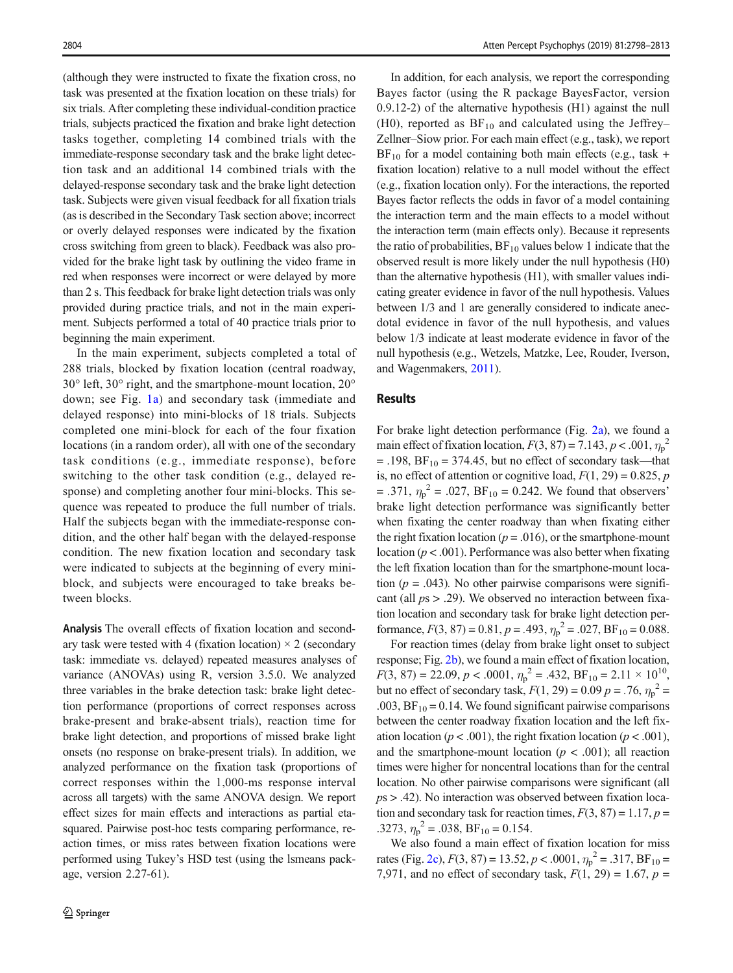(although they were instructed to fixate the fixation cross, no task was presented at the fixation location on these trials) for six trials. After completing these individual-condition practice trials, subjects practiced the fixation and brake light detection tasks together, completing 14 combined trials with the immediate-response secondary task and the brake light detection task and an additional 14 combined trials with the delayed-response secondary task and the brake light detection task. Subjects were given visual feedback for all fixation trials (as is described in the Secondary Task section above; incorrect or overly delayed responses were indicated by the fixation cross switching from green to black). Feedback was also provided for the brake light task by outlining the video frame in red when responses were incorrect or were delayed by more than 2 s. This feedback for brake light detection trials was only provided during practice trials, and not in the main experiment. Subjects performed a total of 40 practice trials prior to beginning the main experiment.

In the main experiment, subjects completed a total of 288 trials, blocked by fixation location (central roadway, 30° left, 30° right, and the smartphone-mount location, 20° down; see Fig. [1a](#page-6-0)) and secondary task (immediate and delayed response) into mini-blocks of 18 trials. Subjects completed one mini-block for each of the four fixation locations (in a random order), all with one of the secondary task conditions (e.g., immediate response), before switching to the other task condition (e.g., delayed response) and completing another four mini-blocks. This sequence was repeated to produce the full number of trials. Half the subjects began with the immediate-response condition, and the other half began with the delayed-response condition. The new fixation location and secondary task were indicated to subjects at the beginning of every miniblock, and subjects were encouraged to take breaks between blocks.

Analysis The overall effects of fixation location and secondary task were tested with 4 (fixation location)  $\times$  2 (secondary task: immediate vs. delayed) repeated measures analyses of variance (ANOVAs) using R, version 3.5.0. We analyzed three variables in the brake detection task: brake light detection performance (proportions of correct responses across brake-present and brake-absent trials), reaction time for brake light detection, and proportions of missed brake light onsets (no response on brake-present trials). In addition, we analyzed performance on the fixation task (proportions of correct responses within the 1,000-ms response interval across all targets) with the same ANOVA design. We report effect sizes for main effects and interactions as partial etasquared. Pairwise post-hoc tests comparing performance, reaction times, or miss rates between fixation locations were performed using Tukey's HSD test (using the lsmeans package, version 2.27-61).

In addition, for each analysis, we report the corresponding Bayes factor (using the R package BayesFactor, version 0.9.12-2) of the alternative hypothesis (H1) against the null (H0), reported as  $BF_{10}$  and calculated using the Jeffrey– Zellner–Siow prior. For each main effect (e.g., task), we report  $BF_{10}$  for a model containing both main effects (e.g., task + fixation location) relative to a null model without the effect (e.g., fixation location only). For the interactions, the reported Bayes factor reflects the odds in favor of a model containing the interaction term and the main effects to a model without the interaction term (main effects only). Because it represents the ratio of probabilities,  $BF_{10}$  values below 1 indicate that the observed result is more likely under the null hypothesis (H0) than the alternative hypothesis (H1), with smaller values indicating greater evidence in favor of the null hypothesis. Values between 1/3 and 1 are generally considered to indicate anecdotal evidence in favor of the null hypothesis, and values below 1/3 indicate at least moderate evidence in favor of the null hypothesis (e.g., Wetzels, Matzke, Lee, Rouder, Iverson, and Wagenmakers, [2011\)](#page-15-0).

#### Results

For brake light detection performance (Fig. [2a](#page-8-0)), we found a main effect of fixation location,  $F(3, 87) = 7.143$ ,  $p < .001$ ,  $\eta_p^2$  $= .198$ ,  $BF_{10} = 374.45$ , but no effect of secondary task—that is, no effect of attention or cognitive load,  $F(1, 29) = 0.825$ , p = .371,  $\eta_p^2$  = .027, BF<sub>10</sub> = 0.242. We found that observers' brake light detection performance was significantly better when fixating the center roadway than when fixating either the right fixation location ( $p = .016$ ), or the smartphone-mount location ( $p < .001$ ). Performance was also better when fixating the left fixation location than for the smartphone-mount location ( $p = .043$ ). No other pairwise comparisons were significant (all  $ps > .29$ ). We observed no interaction between fixation location and secondary task for brake light detection performance,  $F(3, 87) = 0.81$ ,  $p = .493$ ,  $\eta_p^2 = .027$ ,  $BF_{10} = 0.088$ .

For reaction times (delay from brake light onset to subject response; Fig. [2b\)](#page-8-0), we found a main effect of fixation location,  $F(3, 87) = 22.09, p < .0001, \eta_p^2 = .432, BF_{10} = 2.11 \times 10^{10}$ but no effect of secondary task,  $F(1, 29) = 0.09 p = .76$ ,  $\eta_p^2 =$ .003,  $BF_{10} = 0.14$ . We found significant pairwise comparisons between the center roadway fixation location and the left fixation location ( $p < .001$ ), the right fixation location ( $p < .001$ ), and the smartphone-mount location ( $p < .001$ ); all reaction times were higher for noncentral locations than for the central location. No other pairwise comparisons were significant (all  $ps > .42$ ). No interaction was observed between fixation location and secondary task for reaction times,  $F(3, 87) = 1.17$ ,  $p =$ .3273,  $\eta_p^2 = .038$ , BF<sub>10</sub> = 0.154.

We also found a main effect of fixation location for miss rates (Fig. [2c](#page-8-0)),  $F(3, 87) = 13.52, p < .0001, \eta_p^2 = .317, BF_{10} =$ 7,971, and no effect of secondary task,  $F(1, 29) = 1.67$ ,  $p =$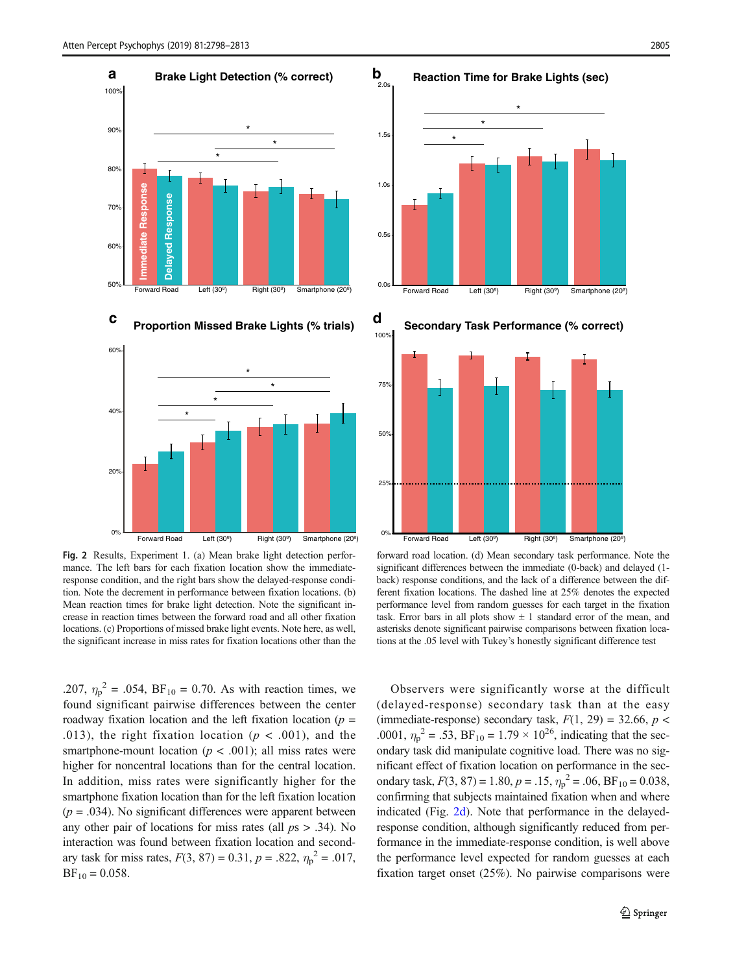<span id="page-8-0"></span>



Fig. 2 Results, Experiment 1. (a) Mean brake light detection performance. The left bars for each fixation location show the immediateresponse condition, and the right bars show the delayed-response condition. Note the decrement in performance between fixation locations. (b) Mean reaction times for brake light detection. Note the significant increase in reaction times between the forward road and all other fixation locations. (c) Proportions of missed brake light events. Note here, as well, the significant increase in miss rates for fixation locations other than the

.207,  $\eta_p^2 = .054$ , BF<sub>10</sub> = 0.70. As with reaction times, we found significant pairwise differences between the center roadway fixation location and the left fixation location ( $p =$ .013), the right fixation location ( $p < .001$ ), and the smartphone-mount location ( $p < .001$ ); all miss rates were higher for noncentral locations than for the central location. In addition, miss rates were significantly higher for the smartphone fixation location than for the left fixation location  $(p = .034)$ . No significant differences were apparent between any other pair of locations for miss rates (all  $ps > .34$ ). No interaction was found between fixation location and secondary task for miss rates,  $F(3, 87) = 0.31$ ,  $p = .822$ ,  $\eta_p^2 = .017$ ,  $BF_{10} = 0.058$ .







100% **c Proportion Missed Brake Lights (% trials) d Secondary Task Performance (% correct)** 



forward road location. (d) Mean secondary task performance. Note the significant differences between the immediate (0-back) and delayed (1 back) response conditions, and the lack of a difference between the different fixation locations. The dashed line at 25% denotes the expected performance level from random guesses for each target in the fixation task. Error bars in all plots show  $\pm 1$  standard error of the mean, and asterisks denote significant pairwise comparisons between fixation locations at the .05 level with Tukey's honestly significant difference test

Observers were significantly worse at the difficult (delayed-response) secondary task than at the easy (immediate-response) secondary task,  $F(1, 29) = 32.66$ ,  $p <$ .0001,  $\eta_p^2 = .53$ , BF<sub>10</sub> = 1.79 × 10<sup>26</sup>, indicating that the secondary task did manipulate cognitive load. There was no significant effect of fixation location on performance in the secondary task,  $F(3, 87) = 1.80$ ,  $p = .15$ ,  $\eta_p^2 = .06$ , BF<sub>10</sub> = 0.038, confirming that subjects maintained fixation when and where indicated (Fig. 2d). Note that performance in the delayedresponse condition, although significantly reduced from performance in the immediate-response condition, is well above the performance level expected for random guesses at each fixation target onset (25%). No pairwise comparisons were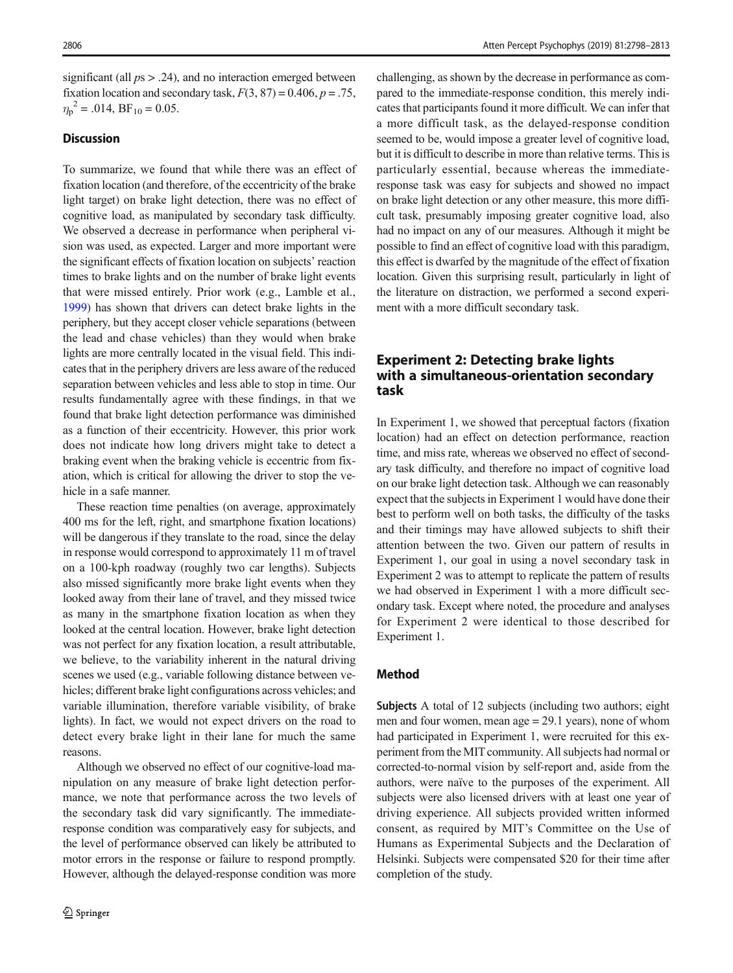significant (all  $ps > .24$ ), and no interaction emerged between fixation location and secondary task,  $F(3, 87) = 0.406$ ,  $p = .75$ ,  $\eta_{\rm p}^2$  = .014, BF<sub>10</sub> = 0.05.

#### **Discussion**

To summarize, we found that while there was an effect of fixation location (and therefore, of the eccentricity of the brake light target) on brake light detection, there was no effect of cognitive load, as manipulated by secondary task difficulty. We observed a decrease in performance when peripheral vision was used, as expected. Larger and more important were the significant effects of fixation location on subjects' reaction times to brake lights and on the number of brake light events that were missed entirely. Prior work (e.g., Lamble et al., [1999\)](#page-14-0) has shown that drivers can detect brake lights in the periphery, but they accept closer vehicle separations (between the lead and chase vehicles) than they would when brake lights are more centrally located in the visual field. This indicates that in the periphery drivers are less aware of the reduced separation between vehicles and less able to stop in time. Our results fundamentally agree with these findings, in that we found that brake light detection performance was diminished as a function of their eccentricity. However, this prior work does not indicate how long drivers might take to detect a braking event when the braking vehicle is eccentric from fixation, which is critical for allowing the driver to stop the vehicle in a safe manner.

These reaction time penalties (on average, approximately 400 ms for the left, right, and smartphone fixation locations) will be dangerous if they translate to the road, since the delay in response would correspond to approximately 11 m of travel on a 100-kph roadway (roughly two car lengths). Subjects also missed significantly more brake light events when they looked away from their lane of travel, and they missed twice as many in the smartphone fixation location as when they looked at the central location. However, brake light detection was not perfect for any fixation location, a result attributable, we believe, to the variability inherent in the natural driving scenes we used (e.g., variable following distance between vehicles; different brake light configurations across vehicles; and variable illumination, therefore variable visibility, of brake lights). In fact, we would not expect drivers on the road to detect every brake light in their lane for much the same reasons.

Although we observed no effect of our cognitive-load manipulation on any measure of brake light detection performance, we note that performance across the two levels of the secondary task did vary significantly. The immediateresponse condition was comparatively easy for subjects, and the level of performance observed can likely be attributed to motor errors in the response or failure to respond promptly. However, although the delayed-response condition was more

challenging, as shown by the decrease in performance as compared to the immediate-response condition, this merely indicates that participants found it more difficult. We can infer that a more difficult task, as the delayed-response condition seemed to be, would impose a greater level of cognitive load, but it is difficult to describe in more than relative terms. This is particularly essential, because whereas the immediateresponse task was easy for subjects and showed no impact on brake light detection or any other measure, this more difficult task, presumably imposing greater cognitive load, also had no impact on any of our measures. Although it might be possible to find an effect of cognitive load with this paradigm, this effect is dwarfed by the magnitude of the effect of fixation location. Given this surprising result, particularly in light of the literature on distraction, we performed a second experiment with a more difficult secondary task.

# Experiment 2: Detecting brake lights with a simultaneous-orientation secondary task

In Experiment 1, we showed that perceptual factors (fixation location) had an effect on detection performance, reaction time, and miss rate, whereas we observed no effect of secondary task difficulty, and therefore no impact of cognitive load on our brake light detection task. Although we can reasonably expect that the subjects in Experiment 1 would have done their best to perform well on both tasks, the difficulty of the tasks and their timings may have allowed subjects to shift their attention between the two. Given our pattern of results in Experiment 1, our goal in using a novel secondary task in Experiment 2 was to attempt to replicate the pattern of results we had observed in Experiment 1 with a more difficult secondary task. Except where noted, the procedure and analyses for Experiment 2 were identical to those described for Experiment 1.

#### Method

**Subjects** A total of 12 subjects (including two authors; eight men and four women, mean age = 29.1 years), none of whom had participated in Experiment 1, were recruited for this experiment from the MIT community. All subjects had normal or corrected-to-normal vision by self-report and, aside from the authors, were naïve to the purposes of the experiment. All subjects were also licensed drivers with at least one year of driving experience. All subjects provided written informed consent, as required by MIT's Committee on the Use of Humans as Experimental Subjects and the Declaration of Helsinki. Subjects were compensated \$20 for their time after completion of the study.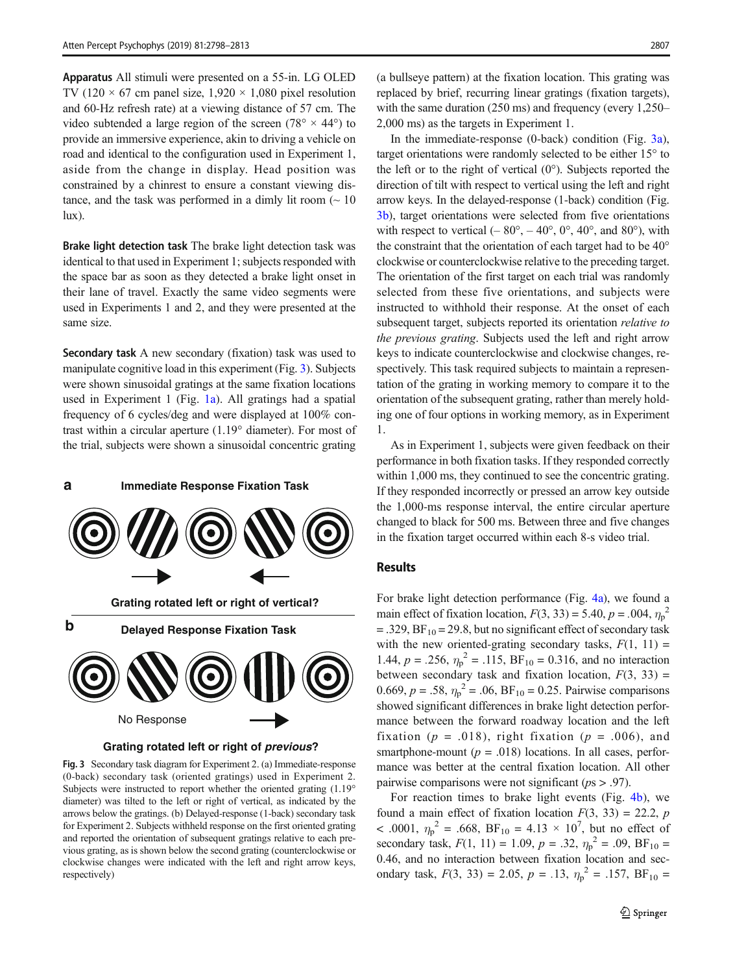Apparatus All stimuli were presented on a 55-in. LG OLED TV (120  $\times$  67 cm panel size, 1,920  $\times$  1,080 pixel resolution and 60-Hz refresh rate) at a viewing distance of 57 cm. The video subtended a large region of the screen (78 $\degree$  × 44 $\degree$ ) to provide an immersive experience, akin to driving a vehicle on road and identical to the configuration used in Experiment 1, aside from the change in display. Head position was constrained by a chinrest to ensure a constant viewing distance, and the task was performed in a dimly lit room  $($   $\sim$  10 lux).

Brake light detection task The brake light detection task was identical to that used in Experiment 1; subjects responded with the space bar as soon as they detected a brake light onset in their lane of travel. Exactly the same video segments were used in Experiments 1 and 2, and they were presented at the same size.

Secondary task A new secondary (fixation) task was used to manipulate cognitive load in this experiment (Fig. 3). Subjects were shown sinusoidal gratings at the same fixation locations used in Experiment 1 (Fig. [1a](#page-6-0)). All gratings had a spatial frequency of 6 cycles/deg and were displayed at 100% contrast within a circular aperture (1.19° diameter). For most of the trial, subjects were shown a sinusoidal concentric grating

#### **Immediate Response Fixation Task a**



#### **Grating rotated left or right of** *previous***?**

Fig. 3 Secondary task diagram for Experiment 2. (a) Immediate-response (0-back) secondary task (oriented gratings) used in Experiment 2. Subjects were instructed to report whether the oriented grating (1.19° diameter) was tilted to the left or right of vertical, as indicated by the arrows below the gratings. (b) Delayed-response (1-back) secondary task for Experiment 2. Subjects withheld response on the first oriented grating and reported the orientation of subsequent gratings relative to each previous grating, as is shown below the second grating (counterclockwise or clockwise changes were indicated with the left and right arrow keys, respectively)

(a bullseye pattern) at the fixation location. This grating was replaced by brief, recurring linear gratings (fixation targets), with the same duration (250 ms) and frequency (every 1,250– 2,000 ms) as the targets in Experiment 1.

In the immediate-response (0-back) condition (Fig. 3a), target orientations were randomly selected to be either 15° to the left or to the right of vertical (0°). Subjects reported the direction of tilt with respect to vertical using the left and right arrow keys. In the delayed-response (1-back) condition (Fig. 3b), target orientations were selected from five orientations with respect to vertical  $(-80^\circ, -40^\circ, 0^\circ, 40^\circ, \text{ and } 80^\circ)$ , with the constraint that the orientation of each target had to be 40° clockwise or counterclockwise relative to the preceding target. The orientation of the first target on each trial was randomly selected from these five orientations, and subjects were instructed to withhold their response. At the onset of each subsequent target, subjects reported its orientation *relative to* the previous grating. Subjects used the left and right arrow keys to indicate counterclockwise and clockwise changes, respectively. This task required subjects to maintain a representation of the grating in working memory to compare it to the orientation of the subsequent grating, rather than merely holding one of four options in working memory, as in Experiment 1.

As in Experiment 1, subjects were given feedback on their performance in both fixation tasks. If they responded correctly within 1,000 ms, they continued to see the concentric grating. If they responded incorrectly or pressed an arrow key outside the 1,000-ms response interval, the entire circular aperture changed to black for 500 ms. Between three and five changes in the fixation target occurred within each 8-s video trial.

#### Results

For brake light detection performance (Fig. [4a](#page-11-0)), we found a main effect of fixation location,  $F(3, 33) = 5.40$ ,  $p = .004$ ,  $\eta_p^2$  $=$  .329, BF<sub>10</sub> = 29.8, but no significant effect of secondary task with the new oriented-grating secondary tasks,  $F(1, 11) =$ 1.44,  $p = .256$ ,  $\eta_p^2 = .115$ ,  $BF_{10} = 0.316$ , and no interaction between secondary task and fixation location,  $F(3, 33) =$ 0.669,  $p = .58$ ,  $\eta_p^2 = .06$ ,  $BF_{10} = 0.25$ . Pairwise comparisons showed significant differences in brake light detection performance between the forward roadway location and the left fixation ( $p = .018$ ), right fixation ( $p = .006$ ), and smartphone-mount ( $p = .018$ ) locations. In all cases, performance was better at the central fixation location. All other pairwise comparisons were not significant ( $ps$  > .97).

For reaction times to brake light events (Fig. [4b\)](#page-11-0), we found a main effect of fixation location  $F(3, 33) = 22.2$ , p < .0001,  $\eta_p^2 = .668$ ,  $BF_{10} = 4.13 \times 10^7$ , but no effect of secondary task,  $F(1, 11) = 1.09$ ,  $p = .32$ ,  $\eta_p^2 = .09$ ,  $BF_{10} =$ 0.46, and no interaction between fixation location and secondary task,  $F(3, 33) = 2.05$ ,  $p = .13$ ,  $\eta_p^2 = .157$ ,  $BF_{10} =$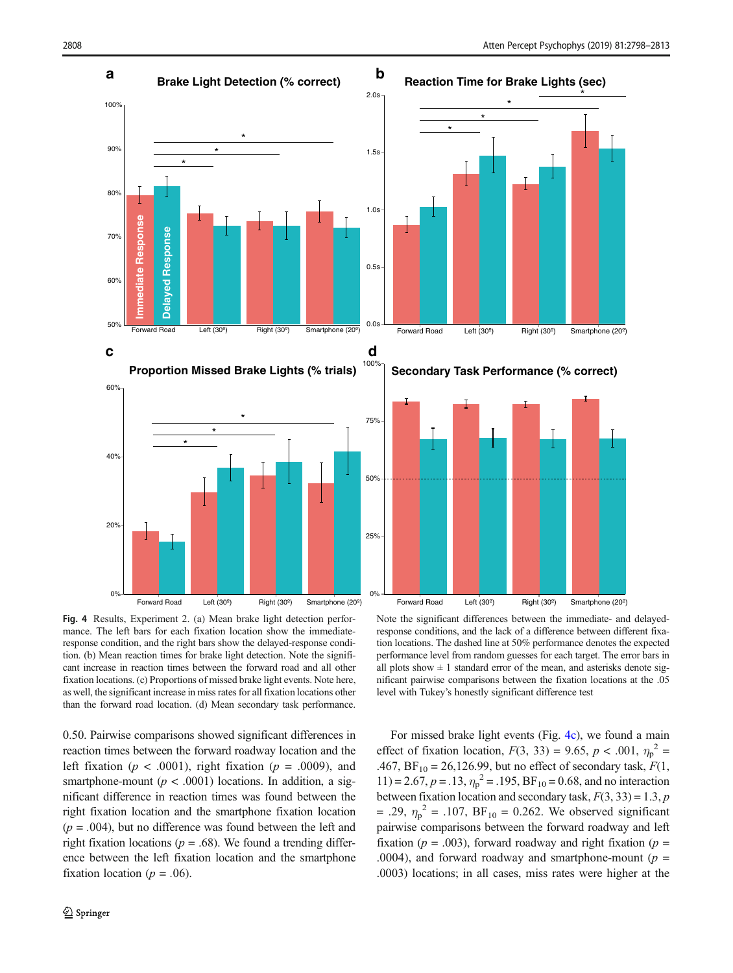<span id="page-11-0"></span>

Fig. 4 Results, Experiment 2. (a) Mean brake light detection performance. The left bars for each fixation location show the immediateresponse condition, and the right bars show the delayed-response condition. (b) Mean reaction times for brake light detection. Note the significant increase in reaction times between the forward road and all other fixation locations. (c) Proportions of missed brake light events. Note here, as well, the significant increase in miss rates for all fixation locations other than the forward road location. (d) Mean secondary task performance.

response conditions, and the lack of a difference between different fixation locations. The dashed line at 50% performance denotes the expected performance level from random guesses for each target. The error bars in all plots show  $\pm 1$  standard error of the mean, and asterisks denote significant pairwise comparisons between the fixation locations at the .05 level with Tukey's honestly significant difference test

0.50. Pairwise comparisons showed significant differences in reaction times between the forward roadway location and the left fixation ( $p < .0001$ ), right fixation ( $p = .0009$ ), and smartphone-mount ( $p < .0001$ ) locations. In addition, a significant difference in reaction times was found between the right fixation location and the smartphone fixation location  $(p = .004)$ , but no difference was found between the left and right fixation locations ( $p = .68$ ). We found a trending difference between the left fixation location and the smartphone fixation location ( $p = .06$ ).

For missed brake light events (Fig. 4c), we found a main effect of fixation location,  $F(3, 33) = 9.65$ ,  $p < .001$ ,  $\eta_p^2 =$ .467,  $BF_{10} = 26,126.99$ , but no effect of secondary task,  $F(1, 1)$ 11) = 2.67,  $p = .13$ ,  $\eta_p^2 = .195$ ,  $BF_{10} = 0.68$ , and no interaction between fixation location and secondary task,  $F(3, 33) = 1.3, p$ = .29,  $\eta_p^2$  = .107, BF<sub>10</sub> = 0.262. We observed significant pairwise comparisons between the forward roadway and left fixation ( $p = .003$ ), forward roadway and right fixation ( $p =$ .0004), and forward roadway and smartphone-mount ( $p =$ .0003) locations; in all cases, miss rates were higher at the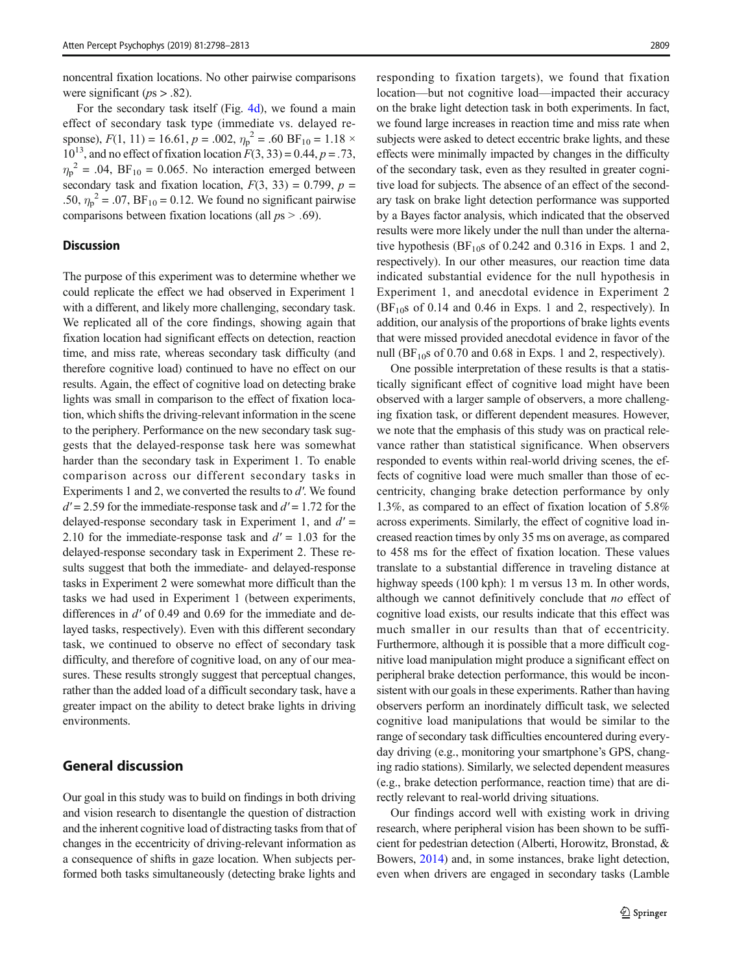noncentral fixation locations. No other pairwise comparisons were significant ( $ps > .82$ ).

For the secondary task itself (Fig. [4d](#page-11-0)), we found a main effect of secondary task type (immediate vs. delayed response),  $F(1, 11) = 16.61$ ,  $p = .002$ ,  $\eta_p^2 = .60$  BF<sub>10</sub> = 1.18  $\times$  $10^{13}$ , and no effect of fixation location  $F(3, 33) = 0.44$ ,  $p = .73$ ,  $\eta_p^2$  = .04, BF<sub>10</sub> = 0.065. No interaction emerged between secondary task and fixation location,  $F(3, 33) = 0.799$ ,  $p =$ .50,  $\eta_p^2$  = .07, BF<sub>10</sub> = 0.12. We found no significant pairwise comparisons between fixation locations (all  $ps > .69$ ).

#### **Discussion**

The purpose of this experiment was to determine whether we could replicate the effect we had observed in Experiment 1 with a different, and likely more challenging, secondary task. We replicated all of the core findings, showing again that fixation location had significant effects on detection, reaction time, and miss rate, whereas secondary task difficulty (and therefore cognitive load) continued to have no effect on our results. Again, the effect of cognitive load on detecting brake lights was small in comparison to the effect of fixation location, which shifts the driving-relevant information in the scene to the periphery. Performance on the new secondary task suggests that the delayed-response task here was somewhat harder than the secondary task in Experiment 1. To enable comparison across our different secondary tasks in Experiments 1 and 2, we converted the results to d'. We found  $d' = 2.59$  for the immediate-response task and  $d' = 1.72$  for the delayed-response secondary task in Experiment 1, and  $d' =$ 2.10 for the immediate-response task and  $d' = 1.03$  for the delayed-response secondary task in Experiment 2. These results suggest that both the immediate- and delayed-response tasks in Experiment 2 were somewhat more difficult than the tasks we had used in Experiment 1 (between experiments, differences in  $d'$  of 0.49 and 0.69 for the immediate and delayed tasks, respectively). Even with this different secondary task, we continued to observe no effect of secondary task difficulty, and therefore of cognitive load, on any of our measures. These results strongly suggest that perceptual changes, rather than the added load of a difficult secondary task, have a greater impact on the ability to detect brake lights in driving environments.

# General discussion

Our goal in this study was to build on findings in both driving and vision research to disentangle the question of distraction and the inherent cognitive load of distracting tasks from that of changes in the eccentricity of driving-relevant information as a consequence of shifts in gaze location. When subjects performed both tasks simultaneously (detecting brake lights and

responding to fixation targets), we found that fixation location—but not cognitive load—impacted their accuracy on the brake light detection task in both experiments. In fact, we found large increases in reaction time and miss rate when subjects were asked to detect eccentric brake lights, and these effects were minimally impacted by changes in the difficulty of the secondary task, even as they resulted in greater cognitive load for subjects. The absence of an effect of the secondary task on brake light detection performance was supported by a Bayes factor analysis, which indicated that the observed results were more likely under the null than under the alternative hypothesis (BF<sub>10</sub>s of 0.242 and 0.316 in Exps. 1 and 2, respectively). In our other measures, our reaction time data indicated substantial evidence for the null hypothesis in Experiment 1, and anecdotal evidence in Experiment 2  $(BF<sub>10</sub>s$  of 0.14 and 0.46 in Exps. 1 and 2, respectively). In addition, our analysis of the proportions of brake lights events that were missed provided anecdotal evidence in favor of the null ( $BF<sub>10</sub>S$  of 0.70 and 0.68 in Exps. 1 and 2, respectively).

One possible interpretation of these results is that a statistically significant effect of cognitive load might have been observed with a larger sample of observers, a more challenging fixation task, or different dependent measures. However, we note that the emphasis of this study was on practical relevance rather than statistical significance. When observers responded to events within real-world driving scenes, the effects of cognitive load were much smaller than those of eccentricity, changing brake detection performance by only 1.3%, as compared to an effect of fixation location of 5.8% across experiments. Similarly, the effect of cognitive load increased reaction times by only 35 ms on average, as compared to 458 ms for the effect of fixation location. These values translate to a substantial difference in traveling distance at highway speeds (100 kph): 1 m versus 13 m. In other words, although we cannot definitively conclude that no effect of cognitive load exists, our results indicate that this effect was much smaller in our results than that of eccentricity. Furthermore, although it is possible that a more difficult cognitive load manipulation might produce a significant effect on peripheral brake detection performance, this would be inconsistent with our goals in these experiments. Rather than having observers perform an inordinately difficult task, we selected cognitive load manipulations that would be similar to the range of secondary task difficulties encountered during everyday driving (e.g., monitoring your smartphone's GPS, changing radio stations). Similarly, we selected dependent measures (e.g., brake detection performance, reaction time) that are directly relevant to real-world driving situations.

Our findings accord well with existing work in driving research, where peripheral vision has been shown to be sufficient for pedestrian detection (Alberti, Horowitz, Bronstad, & Bowers, [2014\)](#page-14-0) and, in some instances, brake light detection, even when drivers are engaged in secondary tasks (Lamble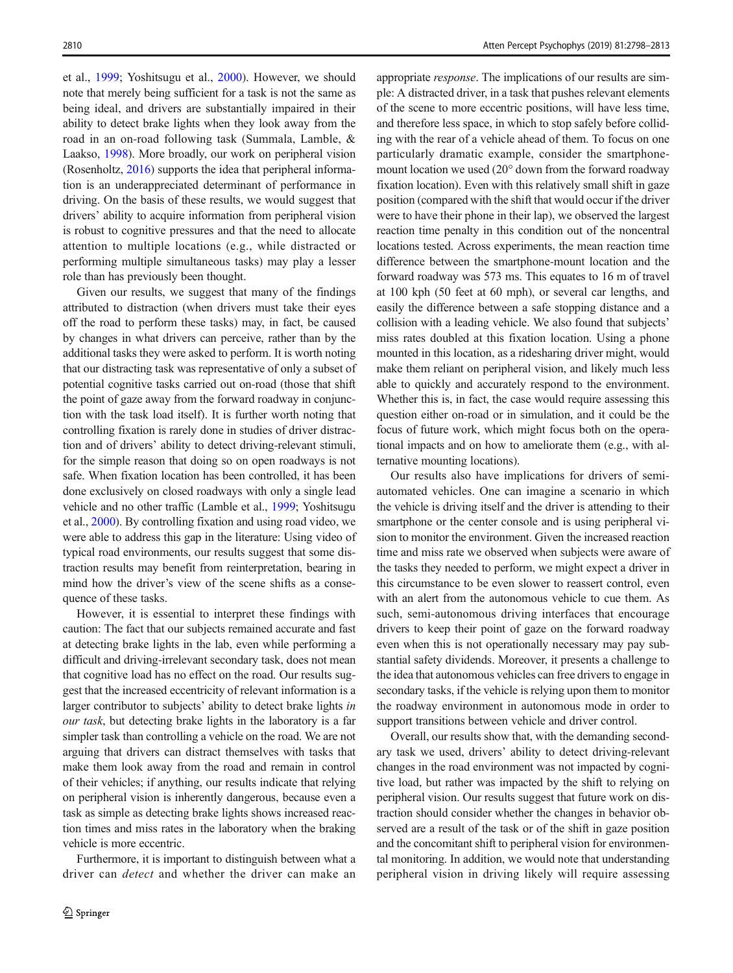et al., [1999;](#page-14-0) Yoshitsugu et al., [2000\)](#page-15-0). However, we should note that merely being sufficient for a task is not the same as being ideal, and drivers are substantially impaired in their ability to detect brake lights when they look away from the road in an on-road following task (Summala, Lamble, & Laakso, [1998](#page-15-0)). More broadly, our work on peripheral vision (Rosenholtz, [2016](#page-15-0)) supports the idea that peripheral information is an underappreciated determinant of performance in driving. On the basis of these results, we would suggest that drivers' ability to acquire information from peripheral vision is robust to cognitive pressures and that the need to allocate attention to multiple locations (e.g., while distracted or performing multiple simultaneous tasks) may play a lesser role than has previously been thought.

Given our results, we suggest that many of the findings attributed to distraction (when drivers must take their eyes off the road to perform these tasks) may, in fact, be caused by changes in what drivers can perceive, rather than by the additional tasks they were asked to perform. It is worth noting that our distracting task was representative of only a subset of potential cognitive tasks carried out on-road (those that shift the point of gaze away from the forward roadway in conjunction with the task load itself). It is further worth noting that controlling fixation is rarely done in studies of driver distraction and of drivers' ability to detect driving-relevant stimuli, for the simple reason that doing so on open roadways is not safe. When fixation location has been controlled, it has been done exclusively on closed roadways with only a single lead vehicle and no other traffic (Lamble et al., [1999](#page-14-0); Yoshitsugu et al., [2000\)](#page-15-0). By controlling fixation and using road video, we were able to address this gap in the literature: Using video of typical road environments, our results suggest that some distraction results may benefit from reinterpretation, bearing in mind how the driver's view of the scene shifts as a consequence of these tasks.

However, it is essential to interpret these findings with caution: The fact that our subjects remained accurate and fast at detecting brake lights in the lab, even while performing a difficult and driving-irrelevant secondary task, does not mean that cognitive load has no effect on the road. Our results suggest that the increased eccentricity of relevant information is a larger contributor to subjects' ability to detect brake lights in our task, but detecting brake lights in the laboratory is a far simpler task than controlling a vehicle on the road. We are not arguing that drivers can distract themselves with tasks that make them look away from the road and remain in control of their vehicles; if anything, our results indicate that relying on peripheral vision is inherently dangerous, because even a task as simple as detecting brake lights shows increased reaction times and miss rates in the laboratory when the braking vehicle is more eccentric.

Furthermore, it is important to distinguish between what a driver can detect and whether the driver can make an appropriate response. The implications of our results are simple: A distracted driver, in a task that pushes relevant elements of the scene to more eccentric positions, will have less time, and therefore less space, in which to stop safely before colliding with the rear of a vehicle ahead of them. To focus on one particularly dramatic example, consider the smartphonemount location we used (20° down from the forward roadway fixation location). Even with this relatively small shift in gaze position (compared with the shift that would occur if the driver were to have their phone in their lap), we observed the largest reaction time penalty in this condition out of the noncentral locations tested. Across experiments, the mean reaction time difference between the smartphone-mount location and the forward roadway was 573 ms. This equates to 16 m of travel at 100 kph (50 feet at 60 mph), or several car lengths, and easily the difference between a safe stopping distance and a collision with a leading vehicle. We also found that subjects' miss rates doubled at this fixation location. Using a phone mounted in this location, as a ridesharing driver might, would make them reliant on peripheral vision, and likely much less able to quickly and accurately respond to the environment. Whether this is, in fact, the case would require assessing this question either on-road or in simulation, and it could be the focus of future work, which might focus both on the operational impacts and on how to ameliorate them (e.g., with alternative mounting locations).

Our results also have implications for drivers of semiautomated vehicles. One can imagine a scenario in which the vehicle is driving itself and the driver is attending to their smartphone or the center console and is using peripheral vision to monitor the environment. Given the increased reaction time and miss rate we observed when subjects were aware of the tasks they needed to perform, we might expect a driver in this circumstance to be even slower to reassert control, even with an alert from the autonomous vehicle to cue them. As such, semi-autonomous driving interfaces that encourage drivers to keep their point of gaze on the forward roadway even when this is not operationally necessary may pay substantial safety dividends. Moreover, it presents a challenge to the idea that autonomous vehicles can free drivers to engage in secondary tasks, if the vehicle is relying upon them to monitor the roadway environment in autonomous mode in order to support transitions between vehicle and driver control.

Overall, our results show that, with the demanding secondary task we used, drivers' ability to detect driving-relevant changes in the road environment was not impacted by cognitive load, but rather was impacted by the shift to relying on peripheral vision. Our results suggest that future work on distraction should consider whether the changes in behavior observed are a result of the task or of the shift in gaze position and the concomitant shift to peripheral vision for environmental monitoring. In addition, we would note that understanding peripheral vision in driving likely will require assessing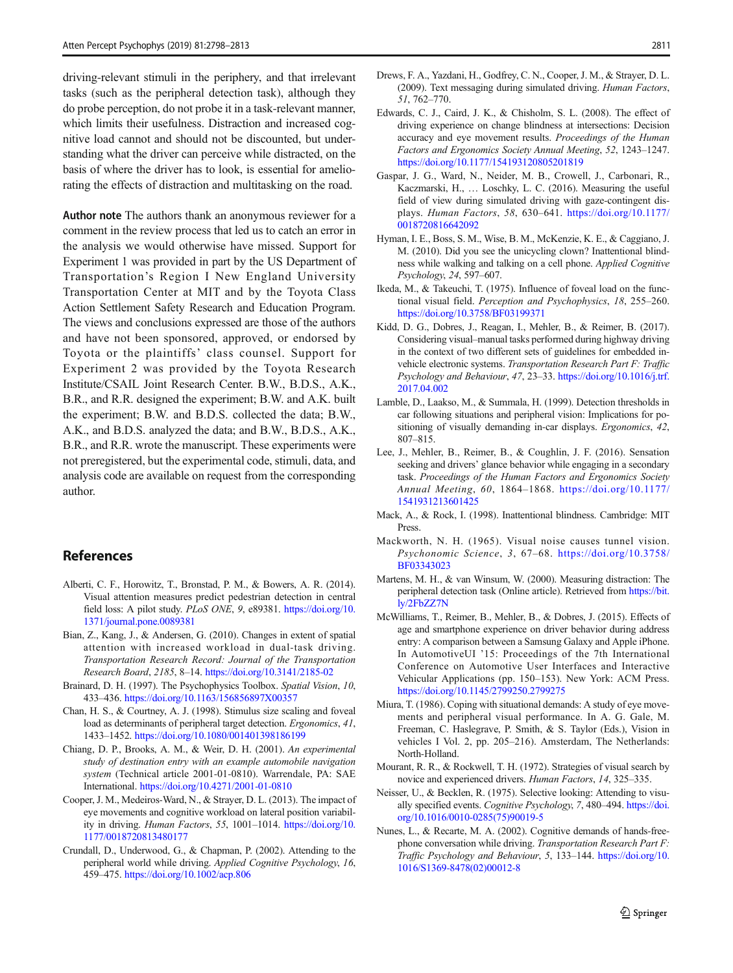<span id="page-14-0"></span>driving-relevant stimuli in the periphery, and that irrelevant tasks (such as the peripheral detection task), although they do probe perception, do not probe it in a task-relevant manner, which limits their usefulness. Distraction and increased cognitive load cannot and should not be discounted, but understanding what the driver can perceive while distracted, on the basis of where the driver has to look, is essential for ameliorating the effects of distraction and multitasking on the road.

Author note The authors thank an anonymous reviewer for a comment in the review process that led us to catch an error in the analysis we would otherwise have missed. Support for Experiment 1 was provided in part by the US Department of Transportation's Region I New England University Transportation Center at MIT and by the Toyota Class Action Settlement Safety Research and Education Program. The views and conclusions expressed are those of the authors and have not been sponsored, approved, or endorsed by Toyota or the plaintiffs' class counsel. Support for Experiment 2 was provided by the Toyota Research Institute/CSAIL Joint Research Center. B.W., B.D.S., A.K., B.R., and R.R. designed the experiment; B.W. and A.K. built the experiment; B.W. and B.D.S. collected the data; B.W., A.K., and B.D.S. analyzed the data; and B.W., B.D.S., A.K., B.R., and R.R. wrote the manuscript. These experiments were not preregistered, but the experimental code, stimuli, data, and analysis code are available on request from the corresponding author.

## **References**

- Alberti, C. F., Horowitz, T., Bronstad, P. M., & Bowers, A. R. (2014). Visual attention measures predict pedestrian detection in central field loss: A pilot study. PLoS ONE, 9, e89381. [https://doi.org/10.](https://doi.org/10.1371/journal.pone.0089381) [1371/journal.pone.0089381](https://doi.org/10.1371/journal.pone.0089381)
- Bian, Z., Kang, J., & Andersen, G. (2010). Changes in extent of spatial attention with increased workload in dual-task driving. Transportation Research Record: Journal of the Transportation Research Board, 2185, 8–14. <https://doi.org/10.3141/2185-02>
- Brainard, D. H. (1997). The Psychophysics Toolbox. Spatial Vision, 10, 433–436. <https://doi.org/10.1163/156856897X00357>
- Chan, H. S., & Courtney, A. J. (1998). Stimulus size scaling and foveal load as determinants of peripheral target detection. Ergonomics, 41, 1433–1452. <https://doi.org/10.1080/001401398186199>
- Chiang, D. P., Brooks, A. M., & Weir, D. H. (2001). An experimental study of destination entry with an example automobile navigation system (Technical article 2001-01-0810). Warrendale, PA: SAE International. <https://doi.org/10.4271/2001-01-0810>
- Cooper, J. M., Medeiros-Ward, N., & Strayer, D. L. (2013). The impact of eye movements and cognitive workload on lateral position variability in driving. Human Factors, 55, 1001–1014. [https://doi.org/10.](https://doi.org/10.1177/0018720813480177) [1177/0018720813480177](https://doi.org/10.1177/0018720813480177)
- Crundall, D., Underwood, G., & Chapman, P. (2002). Attending to the peripheral world while driving. Applied Cognitive Psychology, 16, 459–475. <https://doi.org/10.1002/acp.806>
- Drews, F. A., Yazdani, H., Godfrey, C. N., Cooper, J. M., & Strayer, D. L. (2009). Text messaging during simulated driving. Human Factors, 51, 762–770.
- Edwards, C. J., Caird, J. K., & Chisholm, S. L. (2008). The effect of driving experience on change blindness at intersections: Decision accuracy and eye movement results. Proceedings of the Human Factors and Ergonomics Society Annual Meeting, 52, 1243–1247. <https://doi.org/10.1177/154193120805201819>
- Gaspar, J. G., Ward, N., Neider, M. B., Crowell, J., Carbonari, R., Kaczmarski, H., … Loschky, L. C. (2016). Measuring the useful field of view during simulated driving with gaze-contingent displays. Human Factors, 58, 630–641. [https://doi.org/10.1177/](https://doi.org/10.1177/0018720816642092) [0018720816642092](https://doi.org/10.1177/0018720816642092)
- Hyman, I. E., Boss, S. M., Wise, B. M., McKenzie, K. E., & Caggiano, J. M. (2010). Did you see the unicycling clown? Inattentional blindness while walking and talking on a cell phone. Applied Cognitive Psychology, 24, 597–607.
- Ikeda, M., & Takeuchi, T. (1975). Influence of foveal load on the functional visual field. Perception and Psychophysics, 18, 255–260. <https://doi.org/10.3758/BF03199371>
- Kidd, D. G., Dobres, J., Reagan, I., Mehler, B., & Reimer, B. (2017). Considering visual–manual tasks performed during highway driving in the context of two different sets of guidelines for embedded invehicle electronic systems. Transportation Research Part F: Traffic Psychology and Behaviour, 47, 23–33. [https://doi.org/10.1016/j.trf.](https://doi.org/10.1016/j.trf.2017.04.002) [2017.04.002](https://doi.org/10.1016/j.trf.2017.04.002)
- Lamble, D., Laakso, M., & Summala, H. (1999). Detection thresholds in car following situations and peripheral vision: Implications for positioning of visually demanding in-car displays. Ergonomics, 42, 807–815.
- Lee, J., Mehler, B., Reimer, B., & Coughlin, J. F. (2016). Sensation seeking and drivers' glance behavior while engaging in a secondary task. Proceedings of the Human Factors and Ergonomics Society Annual Meeting, 60, 1864–1868. [https://doi.org/10.1177/](https://doi.org/10.1177/1541931213601425) [1541931213601425](https://doi.org/10.1177/1541931213601425)
- Mack, A., & Rock, I. (1998). Inattentional blindness. Cambridge: MIT **Press**
- Mackworth, N. H. (1965). Visual noise causes tunnel vision. Psychonomic Science, 3, 67–68. [https://doi.org/10.3758/](https://doi.org/10.3758/BF03343023) [BF03343023](https://doi.org/10.3758/BF03343023)
- Martens, M. H., & van Winsum, W. (2000). Measuring distraction: The peripheral detection task (Online article). Retrieved from [https://bit.](https://bit.ly/2FbZZ7N) [ly/2FbZZ7N](https://bit.ly/2FbZZ7N)
- McWilliams, T., Reimer, B., Mehler, B., & Dobres, J. (2015). Effects of age and smartphone experience on driver behavior during address entry: A comparison between a Samsung Galaxy and Apple iPhone. In AutomotiveUI '15: Proceedings of the 7th International Conference on Automotive User Interfaces and Interactive Vehicular Applications (pp. 150–153). New York: ACM Press. <https://doi.org/10.1145/2799250.2799275>
- Miura, T. (1986). Coping with situational demands: A study of eye movements and peripheral visual performance. In A. G. Gale, M. Freeman, C. Haslegrave, P. Smith, & S. Taylor (Eds.), Vision in vehicles I Vol. 2, pp. 205–216). Amsterdam, The Netherlands: North-Holland.
- Mourant, R. R., & Rockwell, T. H. (1972). Strategies of visual search by novice and experienced drivers. *Human Factors*, 14, 325–335.
- Neisser, U., & Becklen, R. (1975). Selective looking: Attending to visually specified events. Cognitive Psychology, 7, 480–494. [https://doi.](https://doi.org/10.1016/0010-0285(75)90019-5) [org/10.1016/0010-0285\(75\)90019-5](https://doi.org/10.1016/0010-0285(75)90019-5)
- Nunes, L., & Recarte, M. A. (2002). Cognitive demands of hands-freephone conversation while driving. Transportation Research Part F: Traffic Psychology and Behaviour, 5, 133–144. [https://doi.org/10.](https://doi.org/10.1016/S1369-8478(02)00012-8) [1016/S1369-8478\(02\)00012-8](https://doi.org/10.1016/S1369-8478(02)00012-8)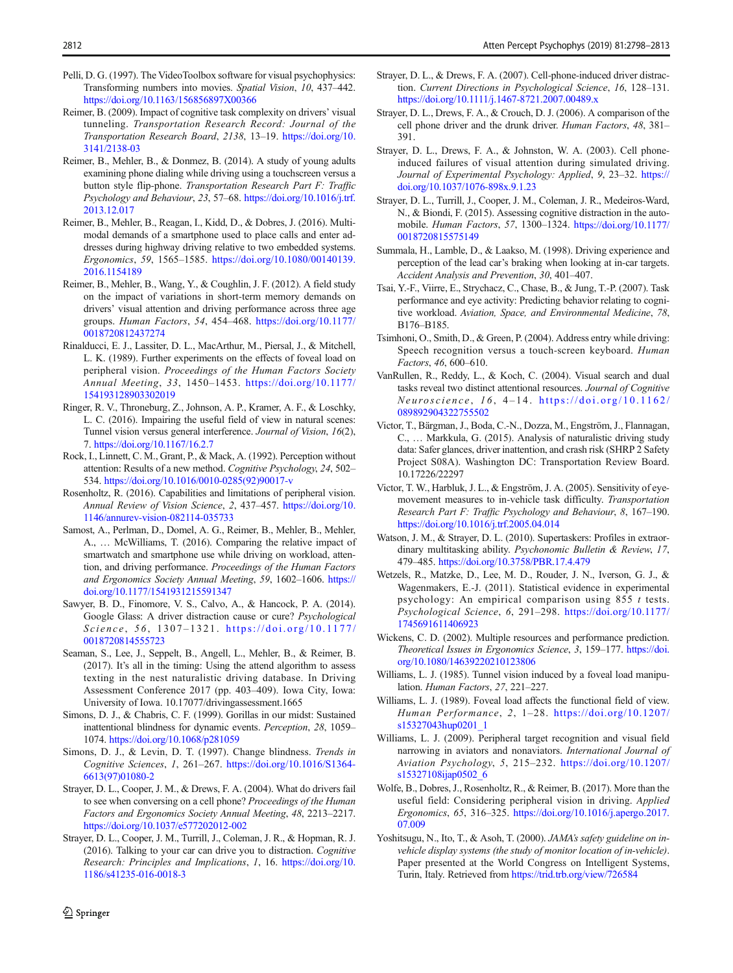- <span id="page-15-0"></span>Pelli, D. G. (1997). The VideoToolbox software for visual psychophysics: Transforming numbers into movies. Spatial Vision, 10, 437–442. <https://doi.org/10.1163/156856897X00366>
- Reimer, B. (2009). Impact of cognitive task complexity on drivers' visual tunneling. Transportation Research Record: Journal of the Transportation Research Board, 2138, 13–19. [https://doi.org/10.](https://doi.org/10.3141/2138-03) [3141/2138-03](https://doi.org/10.3141/2138-03)
- Reimer, B., Mehler, B., & Donmez, B. (2014). A study of young adults examining phone dialing while driving using a touchscreen versus a button style flip-phone. Transportation Research Part F: Traffic Psychology and Behaviour, 23, 57–68. [https://doi.org/10.1016/j.trf.](https://doi.org/10.1016/j.trf.2013.12.017) [2013.12.017](https://doi.org/10.1016/j.trf.2013.12.017)
- Reimer, B., Mehler, B., Reagan, I., Kidd, D., & Dobres, J. (2016). Multimodal demands of a smartphone used to place calls and enter addresses during highway driving relative to two embedded systems. Ergonomics, 59, 1565–1585. [https://doi.org/10.1080/00140139.](https://doi.org/10.1080/00140139.2016.1154189) [2016.1154189](https://doi.org/10.1080/00140139.2016.1154189)
- Reimer, B., Mehler, B., Wang, Y., & Coughlin, J. F. (2012). A field study on the impact of variations in short-term memory demands on drivers' visual attention and driving performance across three age groups. Human Factors, 54, 454–468. [https://doi.org/10.1177/](https://doi.org/10.1177/0018720812437274) [0018720812437274](https://doi.org/10.1177/0018720812437274)
- Rinalducci, E. J., Lassiter, D. L., MacArthur, M., Piersal, J., & Mitchell, L. K. (1989). Further experiments on the effects of foveal load on peripheral vision. Proceedings of the Human Factors Society Annual Meeting, 33, 1450–1453. [https://doi.org/10.1177/](https://doi.org/10.1177/154193128903302019) [154193128903302019](https://doi.org/10.1177/154193128903302019)
- Ringer, R. V., Throneburg, Z., Johnson, A. P., Kramer, A. F., & Loschky, L. C. (2016). Impairing the useful field of view in natural scenes: Tunnel vision versus general interference. Journal of Vision, 16(2), 7. <https://doi.org/10.1167/16.2.7>
- Rock, I., Linnett, C. M., Grant, P., & Mack, A. (1992). Perception without attention: Results of a new method. Cognitive Psychology, 24, 502– 534. [https://doi.org/10.1016/0010-0285\(92\)90017-v](https://doi.org/10.1016/0010-0285(92)90017-v)
- Rosenholtz, R. (2016). Capabilities and limitations of peripheral vision. Annual Review of Vision Science, 2, 437–457. [https://doi.org/10.](https://doi.org/10.1146/annurev-vision-082114-035733) [1146/annurev-vision-082114-035733](https://doi.org/10.1146/annurev-vision-082114-035733)
- Samost, A., Perlman, D., Domel, A. G., Reimer, B., Mehler, B., Mehler, A., … McWilliams, T. (2016). Comparing the relative impact of smartwatch and smartphone use while driving on workload, attention, and driving performance. Proceedings of the Human Factors and Ergonomics Society Annual Meeting, 59, 1602–1606. [https://](https://doi.org/10.1177/1541931215591347) [doi.org/10.1177/1541931215591347](https://doi.org/10.1177/1541931215591347)
- Sawyer, B. D., Finomore, V. S., Calvo, A., & Hancock, P. A. (2014). Google Glass: A driver distraction cause or cure? Psychological Science, 56, 1307-1321. [https://doi.org/10.1177/](https://doi.org/10.1177/0018720814555723) [0018720814555723](https://doi.org/10.1177/0018720814555723)
- Seaman, S., Lee, J., Seppelt, B., Angell, L., Mehler, B., & Reimer, B. (2017). It's all in the timing: Using the attend algorithm to assess texting in the nest naturalistic driving database. In Driving Assessment Conference 2017 (pp. 403–409). Iowa City, Iowa: University of Iowa. 10.17077/drivingassessment.1665
- Simons, D. J., & Chabris, C. F. (1999). Gorillas in our midst: Sustained inattentional blindness for dynamic events. Perception, 28, 1059– 1074. <https://doi.org/10.1068/p281059>
- Simons, D. J., & Levin, D. T. (1997). Change blindness. Trends in Cognitive Sciences, 1, 261–267. [https://doi.org/10.1016/S1364-](https://doi.org/10.1016/S1364-6613(97)01080-2) [6613\(97\)01080-2](https://doi.org/10.1016/S1364-6613(97)01080-2)
- Strayer, D. L., Cooper, J. M., & Drews, F. A. (2004). What do drivers fail to see when conversing on a cell phone? Proceedings of the Human Factors and Ergonomics Society Annual Meeting, 48, 2213–2217. <https://doi.org/10.1037/e577202012-002>
- Strayer, D. L., Cooper, J. M., Turrill, J., Coleman, J. R., & Hopman, R. J. (2016). Talking to your car can drive you to distraction. Cognitive Research: Principles and Implications, 1, 16. [https://doi.org/10.](https://doi.org/10.1186/s41235-016-0018-3) [1186/s41235-016-0018-3](https://doi.org/10.1186/s41235-016-0018-3)
- Strayer, D. L., & Drews, F. A. (2007). Cell-phone-induced driver distraction. Current Directions in Psychological Science, 16, 128–131. <https://doi.org/10.1111/j.1467-8721.2007.00489.x>
- Strayer, D. L., Drews, F. A., & Crouch, D. J. (2006). A comparison of the cell phone driver and the drunk driver. Human Factors, 48, 381– 391.
- Strayer, D. L., Drews, F. A., & Johnston, W. A. (2003). Cell phoneinduced failures of visual attention during simulated driving. Journal of Experimental Psychology: Applied, 9, 23–32. [https://](https://doi.org/10.1037/1076-898x.9.1.23) [doi.org/10.1037/1076-898x.9.1.23](https://doi.org/10.1037/1076-898x.9.1.23)
- Strayer, D. L., Turrill, J., Cooper, J. M., Coleman, J. R., Medeiros-Ward, N., & Biondi, F. (2015). Assessing cognitive distraction in the automobile. Human Factors, 57, 1300–1324. [https://doi.org/10.1177/](https://doi.org/10.1177/0018720815575149) [0018720815575149](https://doi.org/10.1177/0018720815575149)
- Summala, H., Lamble, D., & Laakso, M. (1998). Driving experience and perception of the lead car's braking when looking at in-car targets. Accident Analysis and Prevention, 30, 401–407.
- Tsai, Y.-F., Viirre, E., Strychacz, C., Chase, B., & Jung, T.-P. (2007). Task performance and eye activity: Predicting behavior relating to cognitive workload. Aviation, Space, and Environmental Medicine, 78, B176–B185.
- Tsimhoni, O., Smith, D., & Green, P. (2004). Address entry while driving: Speech recognition versus a touch-screen keyboard. Human Factors, 46, 600–610.
- VanRullen, R., Reddy, L., & Koch, C. (2004). Visual search and dual tasks reveal two distinct attentional resources. Journal of Cognitive Neuroscience, 16, 4-14. [https://doi.org/10.1162/](https://doi.org/10.1162/089892904322755502) [089892904322755502](https://doi.org/10.1162/089892904322755502)
- Victor, T., Bärgman, J., Boda, C.-N., Dozza, M., Engström, J., Flannagan, C., … Markkula, G. (2015). Analysis of naturalistic driving study data: Safer glances, driver inattention, and crash risk (SHRP 2 Safety Project S08A). Washington DC: Transportation Review Board. 10.17226/22297
- Victor, T. W., Harbluk, J. L., & Engström, J. A. (2005). Sensitivity of eyemovement measures to in-vehicle task difficulty. Transportation Research Part F: Traffic Psychology and Behaviour, 8, 167–190. <https://doi.org/10.1016/j.trf.2005.04.014>
- Watson, J. M., & Strayer, D. L. (2010). Supertaskers: Profiles in extraordinary multitasking ability. Psychonomic Bulletin & Review, 17, 479–485. <https://doi.org/10.3758/PBR.17.4.479>
- Wetzels, R., Matzke, D., Lee, M. D., Rouder, J. N., Iverson, G. J., & Wagenmakers, E.-J. (2011). Statistical evidence in experimental psychology: An empirical comparison using  $855$  t tests. Psychological Science, 6, 291–298. [https://doi.org/10.1177/](https://doi.org/10.1177/1745691611406923) [1745691611406923](https://doi.org/10.1177/1745691611406923)
- Wickens, C. D. (2002). Multiple resources and performance prediction. Theoretical Issues in Ergonomics Science, 3, 159–177. [https://doi.](https://doi.org/10.1080/14639220210123806) [org/10.1080/14639220210123806](https://doi.org/10.1080/14639220210123806)
- Williams, L. J. (1985). Tunnel vision induced by a foveal load manipulation. Human Factors, 27, 221–227.
- Williams, L. J. (1989). Foveal load affects the functional field of view. Human Performance, 2, 1–28. [https://doi.org/10.1207/](https://doi.org/10.1207/s15327043hup0201_1) [s15327043hup0201\\_1](https://doi.org/10.1207/s15327043hup0201_1)
- Williams, L. J. (2009). Peripheral target recognition and visual field narrowing in aviators and nonaviators. International Journal of Aviation Psychology, 5, 215–232. [https://doi.org/10.1207/](https://doi.org/10.1207/s15327108ijap0502_6) [s15327108ijap0502\\_6](https://doi.org/10.1207/s15327108ijap0502_6)
- Wolfe, B., Dobres, J., Rosenholtz, R., & Reimer, B. (2017). More than the useful field: Considering peripheral vision in driving. Applied Ergonomics, 65, 316–325. [https://doi.org/10.1016/j.apergo.2017.](https://doi.org/10.1016/j.apergo.2017.07.009) [07.009](https://doi.org/10.1016/j.apergo.2017.07.009)
- Yoshitsugu, N., Ito, T., & Asoh, T. (2000). JAMA's safety guideline on invehicle display systems (the study of monitor location of in-vehicle). Paper presented at the World Congress on Intelligent Systems, Turin, Italy. Retrieved from <https://trid.trb.org/view/726584>